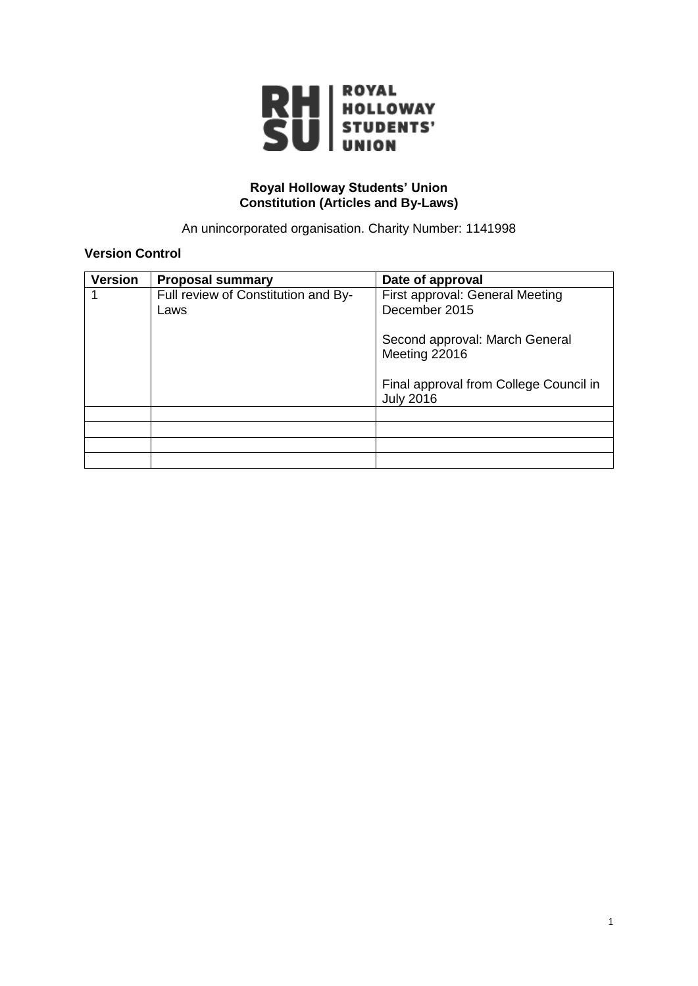

#### **Royal Holloway Students' Union Constitution (Articles and By-Laws)**

An unincorporated organisation. Charity Number: 1141998

# **Version Control**

| <b>Version</b> | <b>Proposal summary</b>             | Date of approval                                           |
|----------------|-------------------------------------|------------------------------------------------------------|
|                | Full review of Constitution and By- | First approval: General Meeting                            |
|                | Laws                                | December 2015                                              |
|                |                                     | Second approval: March General<br>Meeting 22016            |
|                |                                     | Final approval from College Council in<br><b>July 2016</b> |
|                |                                     |                                                            |
|                |                                     |                                                            |
|                |                                     |                                                            |
|                |                                     |                                                            |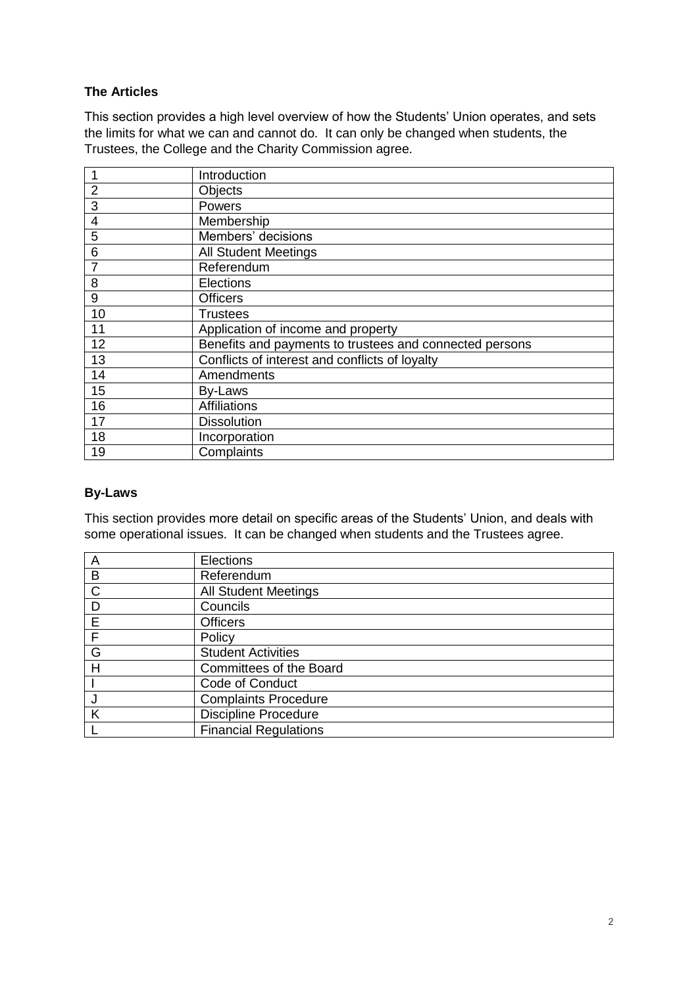# **The Articles**

This section provides a high level overview of how the Students' Union operates, and sets the limits for what we can and cannot do. It can only be changed when students, the Trustees, the College and the Charity Commission agree.

| 1              | Introduction                                            |
|----------------|---------------------------------------------------------|
| $\overline{2}$ | Objects                                                 |
| 3              | Powers                                                  |
| 4              | Membership                                              |
| 5              | Members' decisions                                      |
| 6              | <b>All Student Meetings</b>                             |
| $\overline{7}$ | Referendum                                              |
| 8              | <b>Elections</b>                                        |
| 9              | <b>Officers</b>                                         |
| 10             | <b>Trustees</b>                                         |
| 11             | Application of income and property                      |
| 12             | Benefits and payments to trustees and connected persons |
| 13             | Conflicts of interest and conflicts of loyalty          |
| 14             | Amendments                                              |
| 15             | By-Laws                                                 |
| 16             | <b>Affiliations</b>                                     |
| 17             | <b>Dissolution</b>                                      |
| 18             | Incorporation                                           |
| 19             | Complaints                                              |

#### **By-Laws**

This section provides more detail on specific areas of the Students' Union, and deals with some operational issues. It can be changed when students and the Trustees agree.

| A | Elections                    |
|---|------------------------------|
| B | Referendum                   |
| C | <b>All Student Meetings</b>  |
| D | Councils                     |
| E | <b>Officers</b>              |
| F | Policy                       |
| G | <b>Student Activities</b>    |
| Н | Committees of the Board      |
|   | Code of Conduct              |
|   | <b>Complaints Procedure</b>  |
|   | <b>Discipline Procedure</b>  |
|   | <b>Financial Regulations</b> |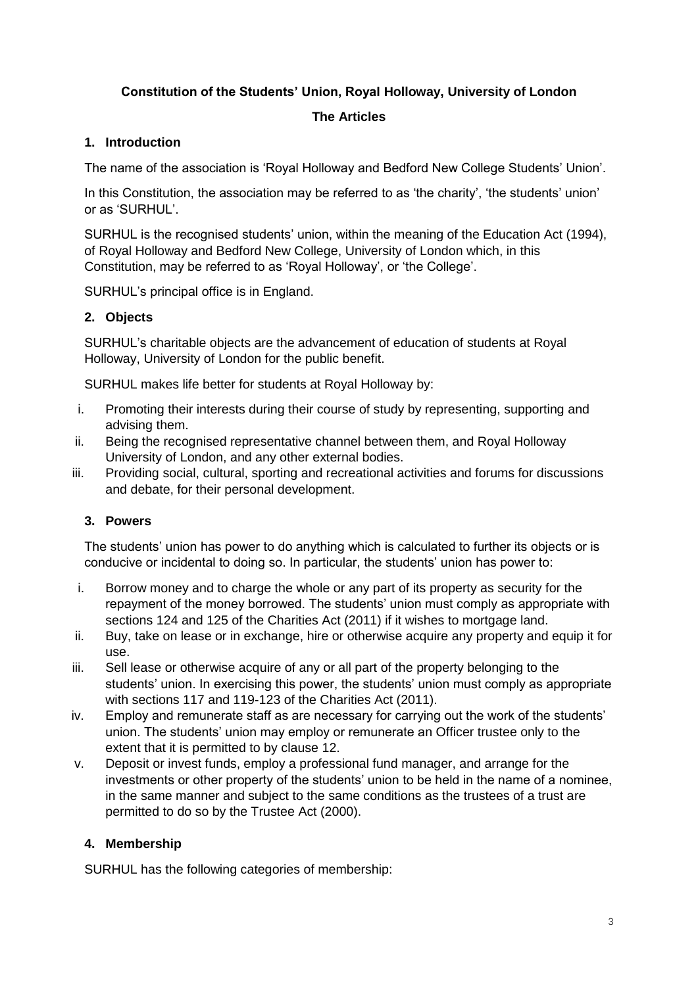# **Constitution of the Students' Union, Royal Holloway, University of London**

# **The Articles**

# **1. Introduction**

The name of the association is 'Royal Holloway and Bedford New College Students' Union'.

In this Constitution, the association may be referred to as 'the charity', 'the students' union' or as 'SURHUL'.

SURHUL is the recognised students' union, within the meaning of the Education Act (1994), of Royal Holloway and Bedford New College, University of London which, in this Constitution, may be referred to as 'Royal Holloway', or 'the College'.

SURHUL's principal office is in England.

# **2. Objects**

SURHUL's charitable objects are the advancement of education of students at Royal Holloway, University of London for the public benefit.

SURHUL makes life better for students at Royal Holloway by:

- i. Promoting their interests during their course of study by representing, supporting and advising them.
- ii. Being the recognised representative channel between them, and Royal Holloway University of London, and any other external bodies.
- iii. Providing social, cultural, sporting and recreational activities and forums for discussions and debate, for their personal development.

# **3. Powers**

The students' union has power to do anything which is calculated to further its objects or is conducive or incidental to doing so. In particular, the students' union has power to:

- i. Borrow money and to charge the whole or any part of its property as security for the repayment of the money borrowed. The students' union must comply as appropriate with sections 124 and 125 of the Charities Act (2011) if it wishes to mortgage land.
- ii. Buy, take on lease or in exchange, hire or otherwise acquire any property and equip it for use.
- iii. Sell lease or otherwise acquire of any or all part of the property belonging to the students' union. In exercising this power, the students' union must comply as appropriate with sections 117 and 119-123 of the Charities Act (2011).
- iv. Employ and remunerate staff as are necessary for carrying out the work of the students' union. The students' union may employ or remunerate an Officer trustee only to the extent that it is permitted to by clause 12.
- v. Deposit or invest funds, employ a professional fund manager, and arrange for the investments or other property of the students' union to be held in the name of a nominee, in the same manner and subject to the same conditions as the trustees of a trust are permitted to do so by the Trustee Act (2000).

# **4. Membership**

SURHUL has the following categories of membership: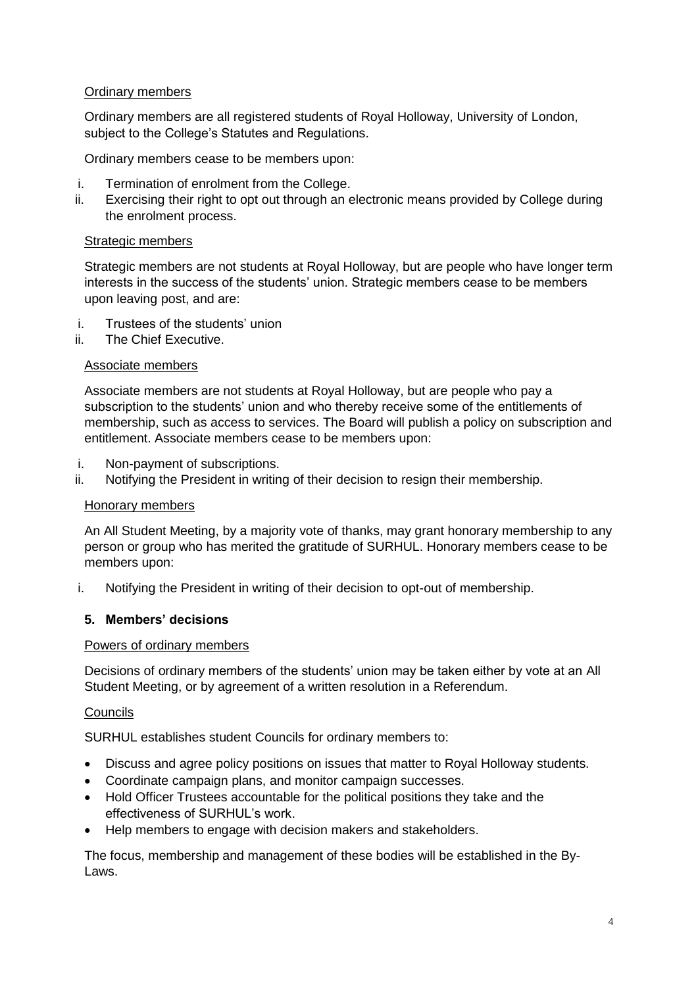#### Ordinary members

Ordinary members are all registered students of Royal Holloway, University of London, subject to the College's Statutes and Regulations.

Ordinary members cease to be members upon:

- i. Termination of enrolment from the College.
- ii. Exercising their right to opt out through an electronic means provided by College during the enrolment process.

#### Strategic members

Strategic members are not students at Royal Holloway, but are people who have longer term interests in the success of the students' union. Strategic members cease to be members upon leaving post, and are:

- i. Trustees of the students' union
- ii. The Chief Executive.

## Associate members

Associate members are not students at Royal Holloway, but are people who pay a subscription to the students' union and who thereby receive some of the entitlements of membership, such as access to services. The Board will publish a policy on subscription and entitlement. Associate members cease to be members upon:

- i. Non-payment of subscriptions.
- ii. Notifying the President in writing of their decision to resign their membership.

#### Honorary members

An All Student Meeting, by a majority vote of thanks, may grant honorary membership to any person or group who has merited the gratitude of SURHUL. Honorary members cease to be members upon:

i. Notifying the President in writing of their decision to opt-out of membership.

#### **5. Members' decisions**

#### Powers of ordinary members

Decisions of ordinary members of the students' union may be taken either by vote at an All Student Meeting, or by agreement of a written resolution in a Referendum.

#### **Councils**

SURHUL establishes student Councils for ordinary members to:

- Discuss and agree policy positions on issues that matter to Royal Holloway students.
- Coordinate campaign plans, and monitor campaign successes.
- Hold Officer Trustees accountable for the political positions they take and the effectiveness of SURHUL's work.
- Help members to engage with decision makers and stakeholders.

The focus, membership and management of these bodies will be established in the By-Laws.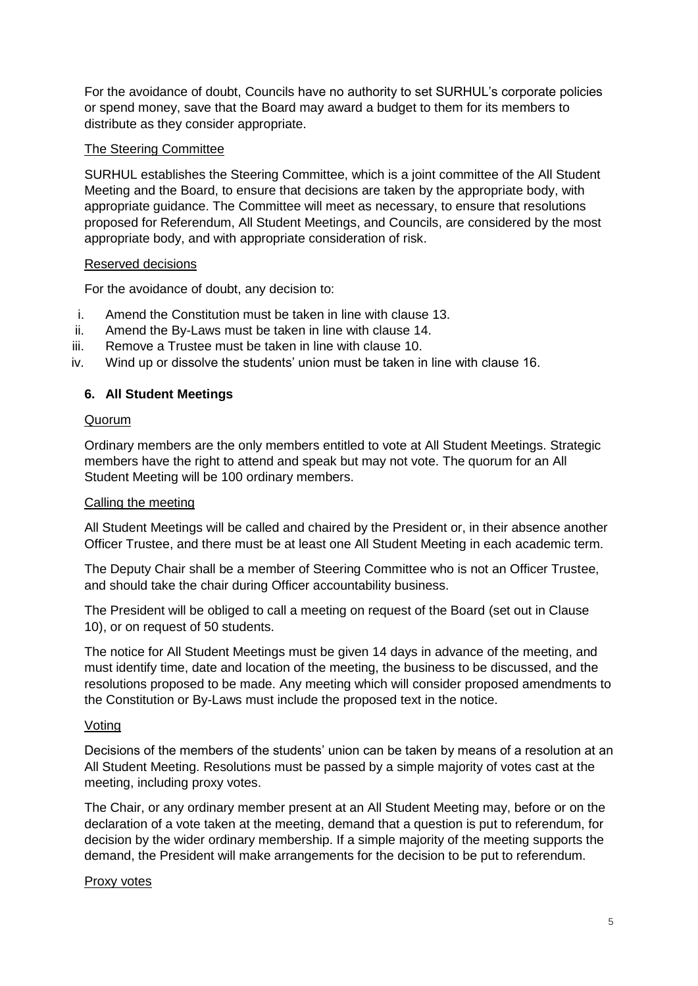For the avoidance of doubt, Councils have no authority to set SURHUL's corporate policies or spend money, save that the Board may award a budget to them for its members to distribute as they consider appropriate.

## The Steering Committee

SURHUL establishes the Steering Committee, which is a joint committee of the All Student Meeting and the Board, to ensure that decisions are taken by the appropriate body, with appropriate guidance. The Committee will meet as necessary, to ensure that resolutions proposed for Referendum, All Student Meetings, and Councils, are considered by the most appropriate body, and with appropriate consideration of risk.

## Reserved decisions

For the avoidance of doubt, any decision to:

- i. Amend the Constitution must be taken in line with clause 13.
- ii. Amend the By-Laws must be taken in line with clause 14.
- iii. Remove a Trustee must be taken in line with clause 10.
- iv. Wind up or dissolve the students' union must be taken in line with clause 16.

# **6. All Student Meetings**

## Quorum

Ordinary members are the only members entitled to vote at All Student Meetings. Strategic members have the right to attend and speak but may not vote. The quorum for an All Student Meeting will be 100 ordinary members.

#### Calling the meeting

All Student Meetings will be called and chaired by the President or, in their absence another Officer Trustee, and there must be at least one All Student Meeting in each academic term.

The Deputy Chair shall be a member of Steering Committee who is not an Officer Trustee, and should take the chair during Officer accountability business.

The President will be obliged to call a meeting on request of the Board (set out in Clause 10), or on request of 50 students.

The notice for All Student Meetings must be given 14 days in advance of the meeting, and must identify time, date and location of the meeting, the business to be discussed, and the resolutions proposed to be made. Any meeting which will consider proposed amendments to the Constitution or By-Laws must include the proposed text in the notice.

#### Voting

Decisions of the members of the students' union can be taken by means of a resolution at an All Student Meeting. Resolutions must be passed by a simple majority of votes cast at the meeting, including proxy votes.

The Chair, or any ordinary member present at an All Student Meeting may, before or on the declaration of a vote taken at the meeting, demand that a question is put to referendum, for decision by the wider ordinary membership. If a simple majority of the meeting supports the demand, the President will make arrangements for the decision to be put to referendum.

#### Proxy votes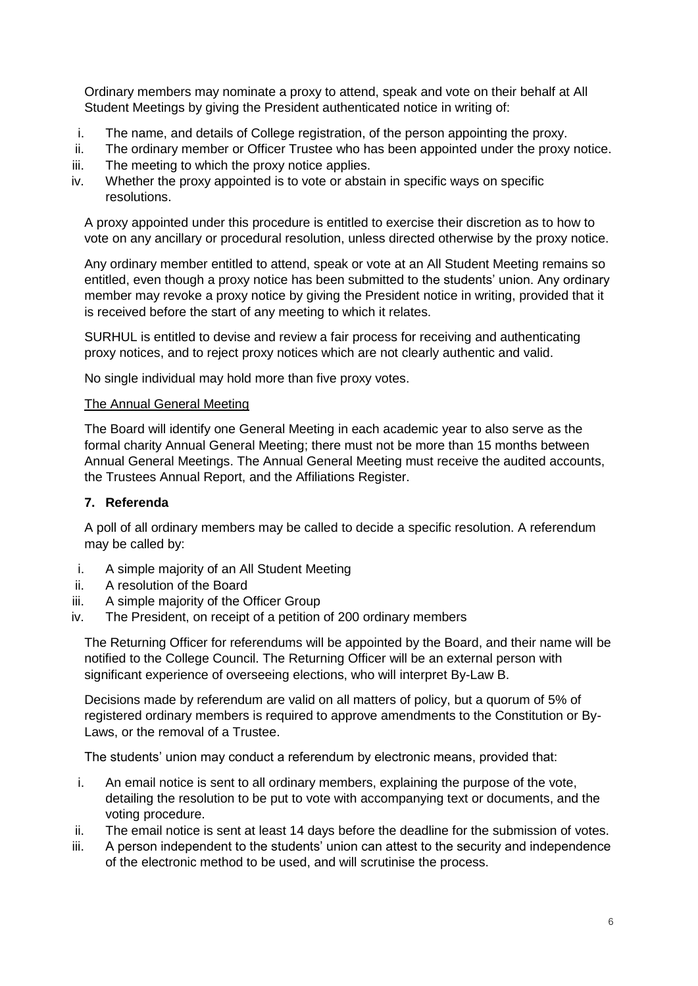Ordinary members may nominate a proxy to attend, speak and vote on their behalf at All Student Meetings by giving the President authenticated notice in writing of:

- i. The name, and details of College registration, of the person appointing the proxy.
- ii. The ordinary member or Officer Trustee who has been appointed under the proxy notice.
- iii. The meeting to which the proxy notice applies.
- iv. Whether the proxy appointed is to vote or abstain in specific ways on specific resolutions.

A proxy appointed under this procedure is entitled to exercise their discretion as to how to vote on any ancillary or procedural resolution, unless directed otherwise by the proxy notice.

Any ordinary member entitled to attend, speak or vote at an All Student Meeting remains so entitled, even though a proxy notice has been submitted to the students' union. Any ordinary member may revoke a proxy notice by giving the President notice in writing, provided that it is received before the start of any meeting to which it relates.

SURHUL is entitled to devise and review a fair process for receiving and authenticating proxy notices, and to reject proxy notices which are not clearly authentic and valid.

No single individual may hold more than five proxy votes.

#### The Annual General Meeting

The Board will identify one General Meeting in each academic year to also serve as the formal charity Annual General Meeting; there must not be more than 15 months between Annual General Meetings. The Annual General Meeting must receive the audited accounts, the Trustees Annual Report, and the Affiliations Register.

#### **7. Referenda**

A poll of all ordinary members may be called to decide a specific resolution. A referendum may be called by:

- i. A simple majority of an All Student Meeting
- ii. A resolution of the Board
- iii. A simple majority of the Officer Group
- iv. The President, on receipt of a petition of 200 ordinary members

The Returning Officer for referendums will be appointed by the Board, and their name will be notified to the College Council. The Returning Officer will be an external person with significant experience of overseeing elections, who will interpret By-Law B.

Decisions made by referendum are valid on all matters of policy, but a quorum of 5% of registered ordinary members is required to approve amendments to the Constitution or By-Laws, or the removal of a Trustee.

The students' union may conduct a referendum by electronic means, provided that:

- i. An email notice is sent to all ordinary members, explaining the purpose of the vote, detailing the resolution to be put to vote with accompanying text or documents, and the voting procedure.
- ii. The email notice is sent at least 14 days before the deadline for the submission of votes.
- iii. A person independent to the students' union can attest to the security and independence of the electronic method to be used, and will scrutinise the process.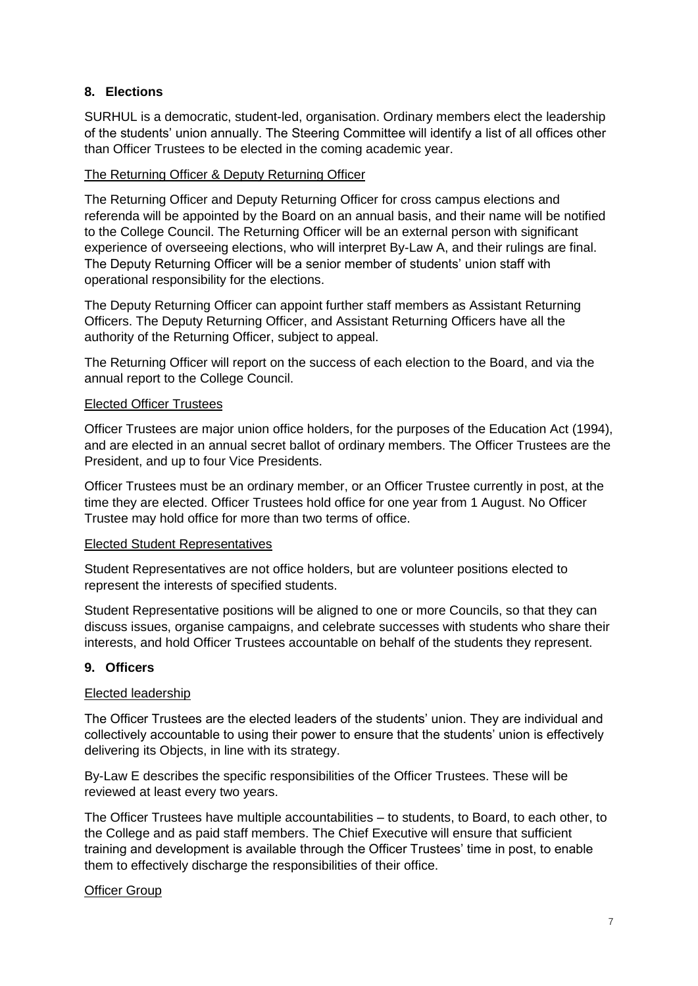## **8. Elections**

SURHUL is a democratic, student-led, organisation. Ordinary members elect the leadership of the students' union annually. The Steering Committee will identify a list of all offices other than Officer Trustees to be elected in the coming academic year.

#### The Returning Officer & Deputy Returning Officer

The Returning Officer and Deputy Returning Officer for cross campus elections and referenda will be appointed by the Board on an annual basis, and their name will be notified to the College Council. The Returning Officer will be an external person with significant experience of overseeing elections, who will interpret By-Law A, and their rulings are final. The Deputy Returning Officer will be a senior member of students' union staff with operational responsibility for the elections.

The Deputy Returning Officer can appoint further staff members as Assistant Returning Officers. The Deputy Returning Officer, and Assistant Returning Officers have all the authority of the Returning Officer, subject to appeal.

The Returning Officer will report on the success of each election to the Board, and via the annual report to the College Council.

#### Elected Officer Trustees

Officer Trustees are major union office holders, for the purposes of the Education Act (1994), and are elected in an annual secret ballot of ordinary members. The Officer Trustees are the President, and up to four Vice Presidents.

Officer Trustees must be an ordinary member, or an Officer Trustee currently in post, at the time they are elected. Officer Trustees hold office for one year from 1 August. No Officer Trustee may hold office for more than two terms of office.

#### Elected Student Representatives

Student Representatives are not office holders, but are volunteer positions elected to represent the interests of specified students.

Student Representative positions will be aligned to one or more Councils, so that they can discuss issues, organise campaigns, and celebrate successes with students who share their interests, and hold Officer Trustees accountable on behalf of the students they represent.

#### **9. Officers**

#### Elected leadership

The Officer Trustees are the elected leaders of the students' union. They are individual and collectively accountable to using their power to ensure that the students' union is effectively delivering its Objects, in line with its strategy.

By-Law E describes the specific responsibilities of the Officer Trustees. These will be reviewed at least every two years.

The Officer Trustees have multiple accountabilities – to students, to Board, to each other, to the College and as paid staff members. The Chief Executive will ensure that sufficient training and development is available through the Officer Trustees' time in post, to enable them to effectively discharge the responsibilities of their office.

#### Officer Group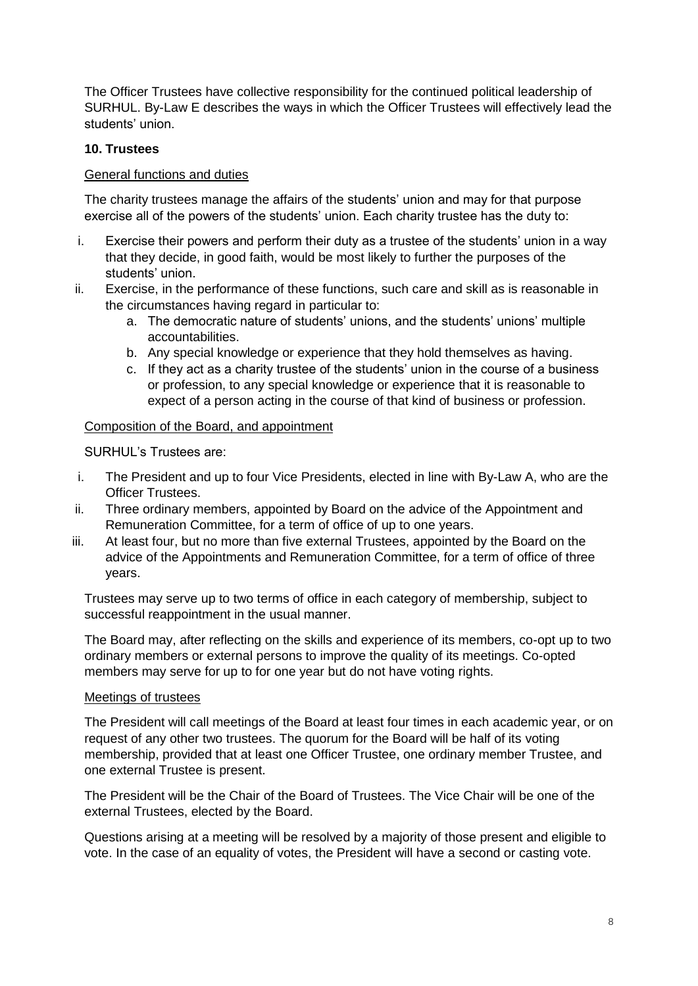The Officer Trustees have collective responsibility for the continued political leadership of SURHUL. By-Law E describes the ways in which the Officer Trustees will effectively lead the students' union.

## **10. Trustees**

### General functions and duties

The charity trustees manage the affairs of the students' union and may for that purpose exercise all of the powers of the students' union. Each charity trustee has the duty to:

- i. Exercise their powers and perform their duty as a trustee of the students' union in a way that they decide, in good faith, would be most likely to further the purposes of the students' union.
- ii. Exercise, in the performance of these functions, such care and skill as is reasonable in the circumstances having regard in particular to:
	- a. The democratic nature of students' unions, and the students' unions' multiple accountabilities.
	- b. Any special knowledge or experience that they hold themselves as having.
	- c. If they act as a charity trustee of the students' union in the course of a business or profession, to any special knowledge or experience that it is reasonable to expect of a person acting in the course of that kind of business or profession.

#### Composition of the Board, and appointment

SURHUL's Trustees are:

- i. The President and up to four Vice Presidents, elected in line with By-Law A, who are the Officer Trustees.
- ii. Three ordinary members, appointed by Board on the advice of the Appointment and Remuneration Committee, for a term of office of up to one years.
- iii. At least four, but no more than five external Trustees, appointed by the Board on the advice of the Appointments and Remuneration Committee, for a term of office of three years.

Trustees may serve up to two terms of office in each category of membership, subject to successful reappointment in the usual manner.

The Board may, after reflecting on the skills and experience of its members, co-opt up to two ordinary members or external persons to improve the quality of its meetings. Co-opted members may serve for up to for one year but do not have voting rights.

#### Meetings of trustees

The President will call meetings of the Board at least four times in each academic year, or on request of any other two trustees. The quorum for the Board will be half of its voting membership, provided that at least one Officer Trustee, one ordinary member Trustee, and one external Trustee is present.

The President will be the Chair of the Board of Trustees. The Vice Chair will be one of the external Trustees, elected by the Board.

Questions arising at a meeting will be resolved by a majority of those present and eligible to vote. In the case of an equality of votes, the President will have a second or casting vote.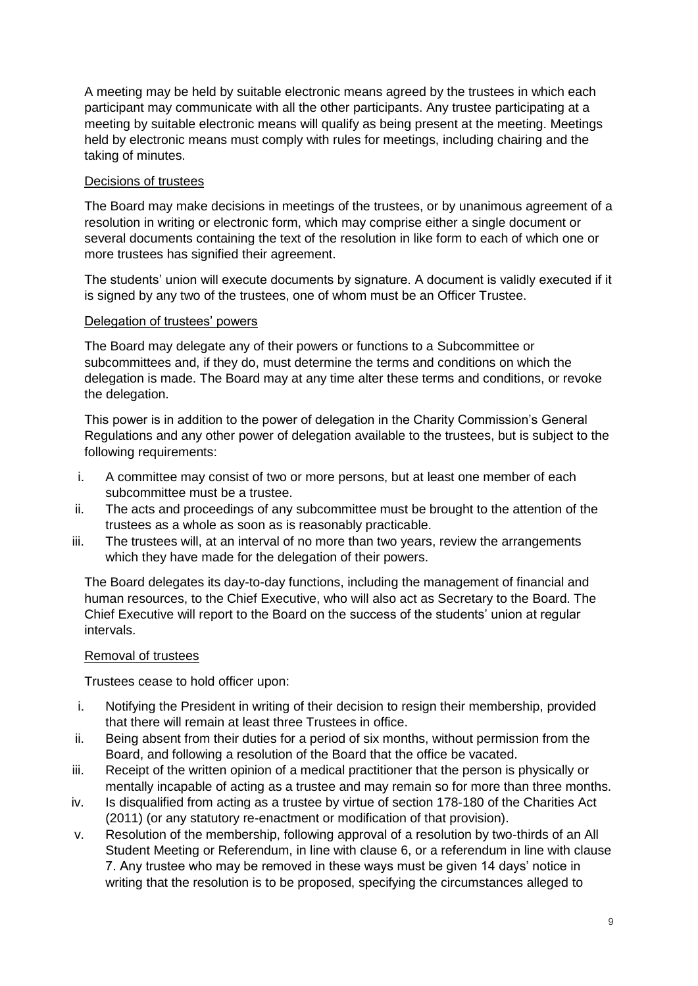A meeting may be held by suitable electronic means agreed by the trustees in which each participant may communicate with all the other participants. Any trustee participating at a meeting by suitable electronic means will qualify as being present at the meeting. Meetings held by electronic means must comply with rules for meetings, including chairing and the taking of minutes.

## Decisions of trustees

The Board may make decisions in meetings of the trustees, or by unanimous agreement of a resolution in writing or electronic form, which may comprise either a single document or several documents containing the text of the resolution in like form to each of which one or more trustees has signified their agreement.

The students' union will execute documents by signature. A document is validly executed if it is signed by any two of the trustees, one of whom must be an Officer Trustee.

## Delegation of trustees' powers

The Board may delegate any of their powers or functions to a Subcommittee or subcommittees and, if they do, must determine the terms and conditions on which the delegation is made. The Board may at any time alter these terms and conditions, or revoke the delegation.

This power is in addition to the power of delegation in the Charity Commission's General Regulations and any other power of delegation available to the trustees, but is subject to the following requirements:

- i. A committee may consist of two or more persons, but at least one member of each subcommittee must be a trustee.
- ii. The acts and proceedings of any subcommittee must be brought to the attention of the trustees as a whole as soon as is reasonably practicable.
- iii. The trustees will, at an interval of no more than two years, review the arrangements which they have made for the delegation of their powers.

The Board delegates its day-to-day functions, including the management of financial and human resources, to the Chief Executive, who will also act as Secretary to the Board. The Chief Executive will report to the Board on the success of the students' union at regular intervals.

#### Removal of trustees

Trustees cease to hold officer upon:

- i. Notifying the President in writing of their decision to resign their membership, provided that there will remain at least three Trustees in office.
- ii. Being absent from their duties for a period of six months, without permission from the Board, and following a resolution of the Board that the office be vacated.
- iii. Receipt of the written opinion of a medical practitioner that the person is physically or mentally incapable of acting as a trustee and may remain so for more than three months.
- iv. Is disqualified from acting as a trustee by virtue of section 178-180 of the Charities Act (2011) (or any statutory re-enactment or modification of that provision).
- v. Resolution of the membership, following approval of a resolution by two-thirds of an All Student Meeting or Referendum, in line with clause 6, or a referendum in line with clause 7. Any trustee who may be removed in these ways must be given 14 days' notice in writing that the resolution is to be proposed, specifying the circumstances alleged to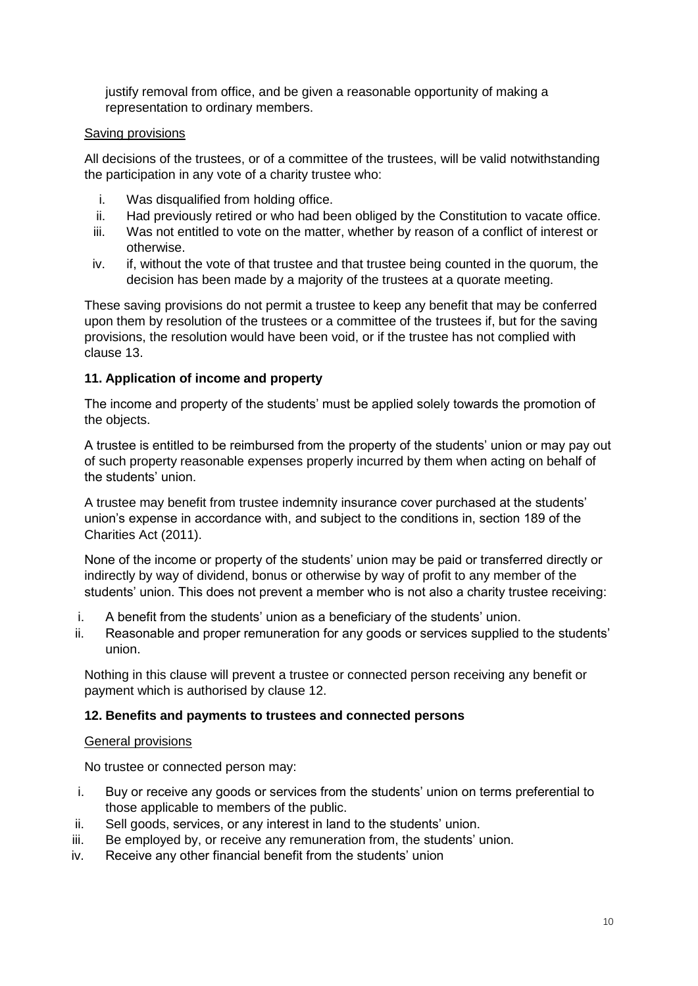justify removal from office, and be given a reasonable opportunity of making a representation to ordinary members.

#### Saving provisions

All decisions of the trustees, or of a committee of the trustees, will be valid notwithstanding the participation in any vote of a charity trustee who:

- i. Was disqualified from holding office.
- ii. Had previously retired or who had been obliged by the Constitution to vacate office.
- iii. Was not entitled to vote on the matter, whether by reason of a conflict of interest or otherwise.
- iv. if, without the vote of that trustee and that trustee being counted in the quorum, the decision has been made by a majority of the trustees at a quorate meeting.

These saving provisions do not permit a trustee to keep any benefit that may be conferred upon them by resolution of the trustees or a committee of the trustees if, but for the saving provisions, the resolution would have been void, or if the trustee has not complied with clause 13.

## **11. Application of income and property**

The income and property of the students' must be applied solely towards the promotion of the objects.

A trustee is entitled to be reimbursed from the property of the students' union or may pay out of such property reasonable expenses properly incurred by them when acting on behalf of the students' union.

A trustee may benefit from trustee indemnity insurance cover purchased at the students' union's expense in accordance with, and subject to the conditions in, section 189 of the Charities Act (2011).

None of the income or property of the students' union may be paid or transferred directly or indirectly by way of dividend, bonus or otherwise by way of profit to any member of the students' union. This does not prevent a member who is not also a charity trustee receiving:

- i. A benefit from the students' union as a beneficiary of the students' union.
- ii. Reasonable and proper remuneration for any goods or services supplied to the students' union.

Nothing in this clause will prevent a trustee or connected person receiving any benefit or payment which is authorised by clause 12.

# **12. Benefits and payments to trustees and connected persons**

#### General provisions

No trustee or connected person may:

- i. Buy or receive any goods or services from the students' union on terms preferential to those applicable to members of the public.
- ii. Sell goods, services, or any interest in land to the students' union.
- iii. Be employed by, or receive any remuneration from, the students' union.
- iv. Receive any other financial benefit from the students' union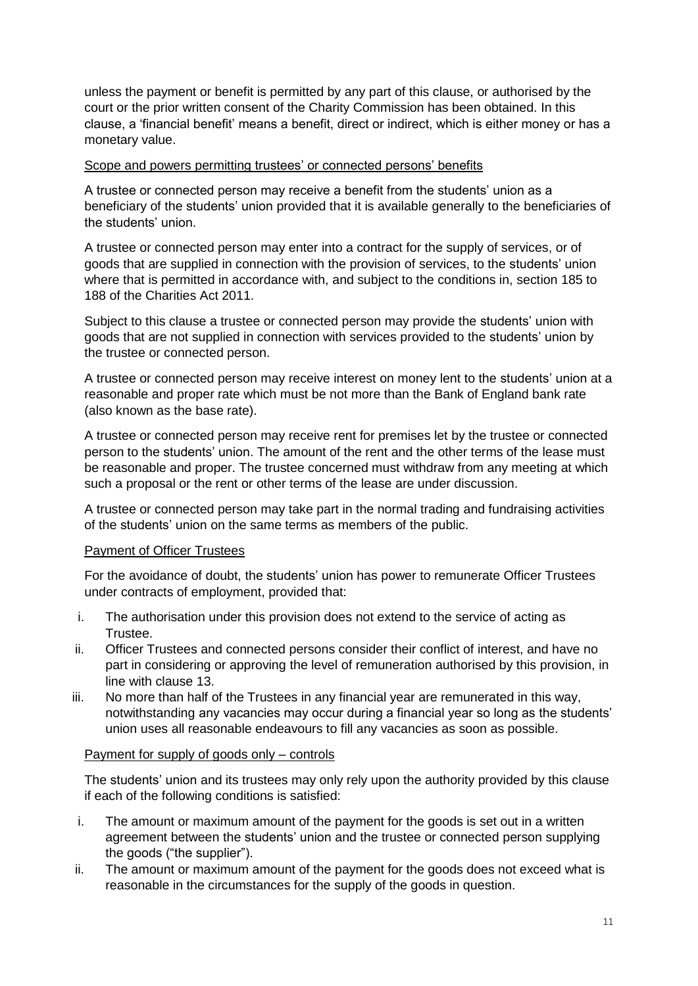unless the payment or benefit is permitted by any part of this clause, or authorised by the court or the prior written consent of the Charity Commission has been obtained. In this clause, a 'financial benefit' means a benefit, direct or indirect, which is either money or has a monetary value.

#### Scope and powers permitting trustees' or connected persons' benefits

A trustee or connected person may receive a benefit from the students' union as a beneficiary of the students' union provided that it is available generally to the beneficiaries of the students' union.

A trustee or connected person may enter into a contract for the supply of services, or of goods that are supplied in connection with the provision of services, to the students' union where that is permitted in accordance with, and subject to the conditions in, section 185 to 188 of the Charities Act 2011.

Subject to this clause a trustee or connected person may provide the students' union with goods that are not supplied in connection with services provided to the students' union by the trustee or connected person.

A trustee or connected person may receive interest on money lent to the students' union at a reasonable and proper rate which must be not more than the Bank of England bank rate (also known as the base rate).

A trustee or connected person may receive rent for premises let by the trustee or connected person to the students' union. The amount of the rent and the other terms of the lease must be reasonable and proper. The trustee concerned must withdraw from any meeting at which such a proposal or the rent or other terms of the lease are under discussion.

A trustee or connected person may take part in the normal trading and fundraising activities of the students' union on the same terms as members of the public.

#### Payment of Officer Trustees

For the avoidance of doubt, the students' union has power to remunerate Officer Trustees under contracts of employment, provided that:

- i. The authorisation under this provision does not extend to the service of acting as Trustee.
- ii. Officer Trustees and connected persons consider their conflict of interest, and have no part in considering or approving the level of remuneration authorised by this provision, in line with clause 13.
- iii. No more than half of the Trustees in any financial year are remunerated in this way, notwithstanding any vacancies may occur during a financial year so long as the students' union uses all reasonable endeavours to fill any vacancies as soon as possible.

#### Payment for supply of goods only – controls

The students' union and its trustees may only rely upon the authority provided by this clause if each of the following conditions is satisfied:

- i. The amount or maximum amount of the payment for the goods is set out in a written agreement between the students' union and the trustee or connected person supplying the goods ("the supplier").
- ii. The amount or maximum amount of the payment for the goods does not exceed what is reasonable in the circumstances for the supply of the goods in question.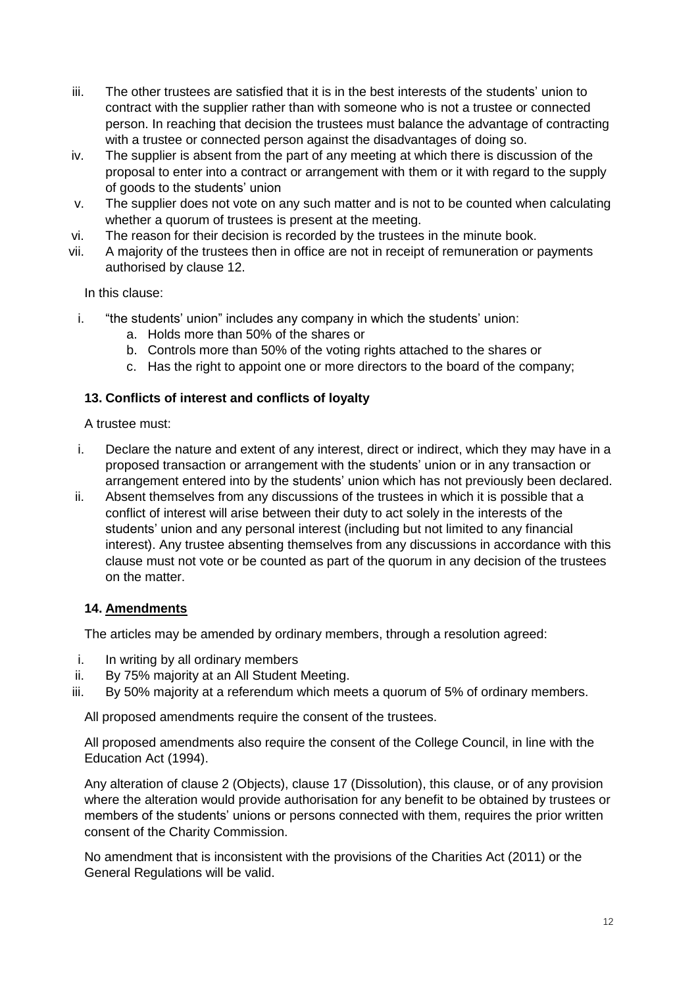- iii. The other trustees are satisfied that it is in the best interests of the students' union to contract with the supplier rather than with someone who is not a trustee or connected person. In reaching that decision the trustees must balance the advantage of contracting with a trustee or connected person against the disadvantages of doing so.
- iv. The supplier is absent from the part of any meeting at which there is discussion of the proposal to enter into a contract or arrangement with them or it with regard to the supply of goods to the students' union
- v. The supplier does not vote on any such matter and is not to be counted when calculating whether a quorum of trustees is present at the meeting.
- vi. The reason for their decision is recorded by the trustees in the minute book.
- vii. A majority of the trustees then in office are not in receipt of remuneration or payments authorised by clause 12.

In this clause:

- i. "the students' union" includes any company in which the students' union:
	- a. Holds more than 50% of the shares or
	- b. Controls more than 50% of the voting rights attached to the shares or
	- c. Has the right to appoint one or more directors to the board of the company;

# **13. Conflicts of interest and conflicts of loyalty**

A trustee must:

- i. Declare the nature and extent of any interest, direct or indirect, which they may have in a proposed transaction or arrangement with the students' union or in any transaction or arrangement entered into by the students' union which has not previously been declared.
- ii. Absent themselves from any discussions of the trustees in which it is possible that a conflict of interest will arise between their duty to act solely in the interests of the students' union and any personal interest (including but not limited to any financial interest). Any trustee absenting themselves from any discussions in accordance with this clause must not vote or be counted as part of the quorum in any decision of the trustees on the matter.

#### **14. Amendments**

The articles may be amended by ordinary members, through a resolution agreed:

- i. In writing by all ordinary members
- ii. By 75% majority at an All Student Meeting.
- iii. By 50% majority at a referendum which meets a quorum of 5% of ordinary members.

All proposed amendments require the consent of the trustees.

All proposed amendments also require the consent of the College Council, in line with the Education Act (1994).

Any alteration of clause 2 (Objects), clause 17 (Dissolution), this clause, or of any provision where the alteration would provide authorisation for any benefit to be obtained by trustees or members of the students' unions or persons connected with them, requires the prior written consent of the Charity Commission.

No amendment that is inconsistent with the provisions of the Charities Act (2011) or the General Regulations will be valid.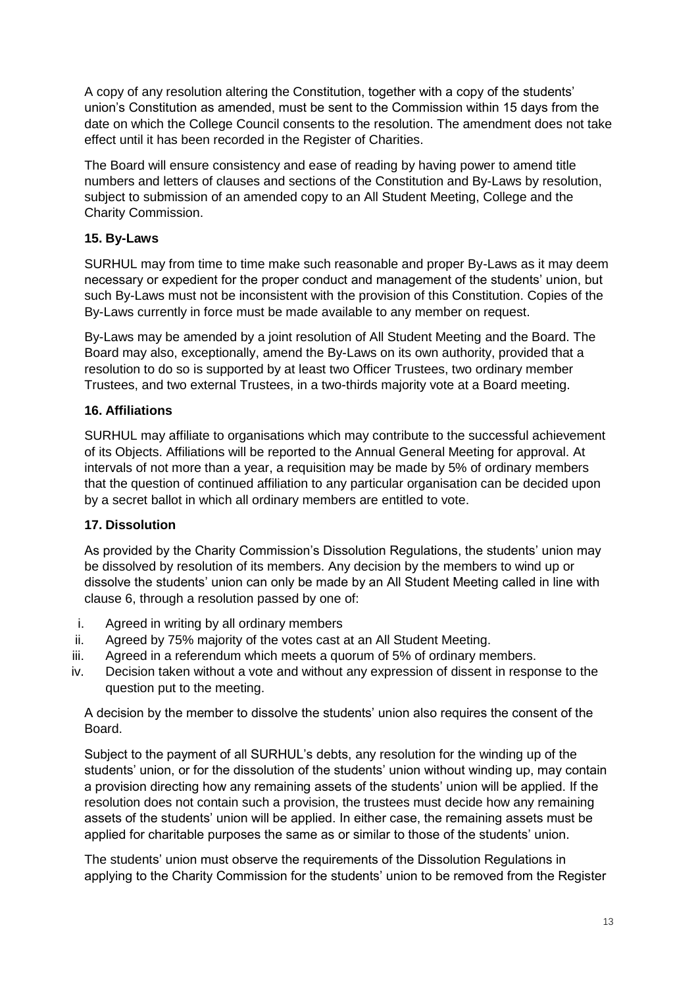A copy of any resolution altering the Constitution, together with a copy of the students' union's Constitution as amended, must be sent to the Commission within 15 days from the date on which the College Council consents to the resolution. The amendment does not take effect until it has been recorded in the Register of Charities.

The Board will ensure consistency and ease of reading by having power to amend title numbers and letters of clauses and sections of the Constitution and By-Laws by resolution, subject to submission of an amended copy to an All Student Meeting, College and the Charity Commission.

# **15. By-Laws**

SURHUL may from time to time make such reasonable and proper By-Laws as it may deem necessary or expedient for the proper conduct and management of the students' union, but such By-Laws must not be inconsistent with the provision of this Constitution. Copies of the By-Laws currently in force must be made available to any member on request.

By-Laws may be amended by a joint resolution of All Student Meeting and the Board. The Board may also, exceptionally, amend the By-Laws on its own authority, provided that a resolution to do so is supported by at least two Officer Trustees, two ordinary member Trustees, and two external Trustees, in a two-thirds majority vote at a Board meeting.

## **16. Affiliations**

SURHUL may affiliate to organisations which may contribute to the successful achievement of its Objects. Affiliations will be reported to the Annual General Meeting for approval. At intervals of not more than a year, a requisition may be made by 5% of ordinary members that the question of continued affiliation to any particular organisation can be decided upon by a secret ballot in which all ordinary members are entitled to vote.

# **17. Dissolution**

As provided by the Charity Commission's Dissolution Regulations, the students' union may be dissolved by resolution of its members. Any decision by the members to wind up or dissolve the students' union can only be made by an All Student Meeting called in line with clause 6, through a resolution passed by one of:

- i. Agreed in writing by all ordinary members
- ii. Agreed by 75% majority of the votes cast at an All Student Meeting.
- iii. Agreed in a referendum which meets a quorum of 5% of ordinary members.
- iv. Decision taken without a vote and without any expression of dissent in response to the question put to the meeting.

A decision by the member to dissolve the students' union also requires the consent of the Board.

Subject to the payment of all SURHUL's debts, any resolution for the winding up of the students' union, or for the dissolution of the students' union without winding up, may contain a provision directing how any remaining assets of the students' union will be applied. If the resolution does not contain such a provision, the trustees must decide how any remaining assets of the students' union will be applied. In either case, the remaining assets must be applied for charitable purposes the same as or similar to those of the students' union.

The students' union must observe the requirements of the Dissolution Regulations in applying to the Charity Commission for the students' union to be removed from the Register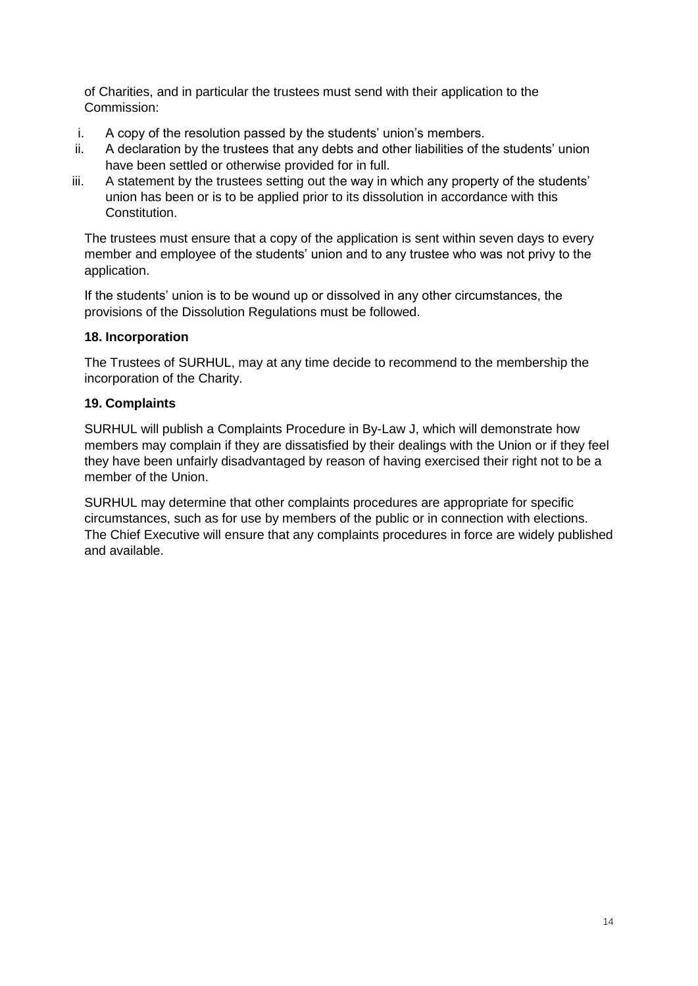of Charities, and in particular the trustees must send with their application to the Commission:

- i. A copy of the resolution passed by the students' union's members.
- ii. A declaration by the trustees that any debts and other liabilities of the students' union have been settled or otherwise provided for in full.
- iii. A statement by the trustees setting out the way in which any property of the students' union has been or is to be applied prior to its dissolution in accordance with this Constitution.

The trustees must ensure that a copy of the application is sent within seven days to every member and employee of the students' union and to any trustee who was not privy to the application.

If the students' union is to be wound up or dissolved in any other circumstances, the provisions of the Dissolution Regulations must be followed.

## **18. Incorporation**

The Trustees of SURHUL, may at any time decide to recommend to the membership the incorporation of the Charity.

## **19. Complaints**

SURHUL will publish a Complaints Procedure in By-Law J, which will demonstrate how members may complain if they are dissatisfied by their dealings with the Union or if they feel they have been unfairly disadvantaged by reason of having exercised their right not to be a member of the Union.

SURHUL may determine that other complaints procedures are appropriate for specific circumstances, such as for use by members of the public or in connection with elections. The Chief Executive will ensure that any complaints procedures in force are widely published and available.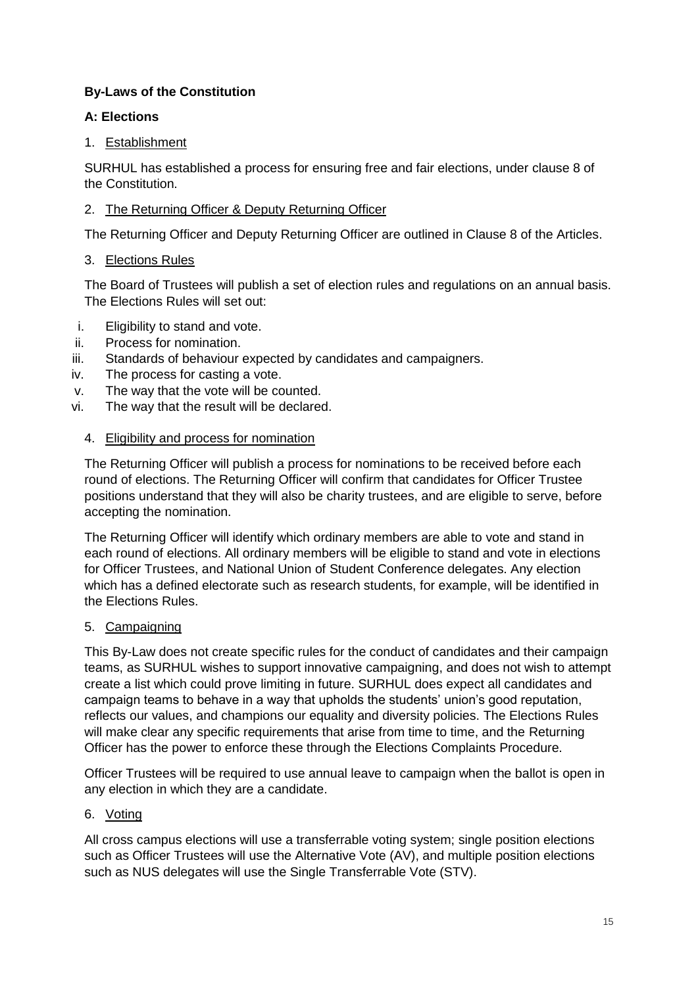# **By-Laws of the Constitution**

# **A: Elections**

# 1. Establishment

SURHUL has established a process for ensuring free and fair elections, under clause 8 of the Constitution.

# 2. The Returning Officer & Deputy Returning Officer

The Returning Officer and Deputy Returning Officer are outlined in Clause 8 of the Articles.

# 3. Elections Rules

The Board of Trustees will publish a set of election rules and regulations on an annual basis. The Elections Rules will set out:

- i. Eligibility to stand and vote.
- ii. Process for nomination.
- iii. Standards of behaviour expected by candidates and campaigners.
- iv. The process for casting a vote.
- v. The way that the vote will be counted.
- vi. The way that the result will be declared.

# 4. Eligibility and process for nomination

The Returning Officer will publish a process for nominations to be received before each round of elections. The Returning Officer will confirm that candidates for Officer Trustee positions understand that they will also be charity trustees, and are eligible to serve, before accepting the nomination.

The Returning Officer will identify which ordinary members are able to vote and stand in each round of elections. All ordinary members will be eligible to stand and vote in elections for Officer Trustees, and National Union of Student Conference delegates. Any election which has a defined electorate such as research students, for example, will be identified in the Elections Rules.

# 5. Campaigning

This By-Law does not create specific rules for the conduct of candidates and their campaign teams, as SURHUL wishes to support innovative campaigning, and does not wish to attempt create a list which could prove limiting in future. SURHUL does expect all candidates and campaign teams to behave in a way that upholds the students' union's good reputation, reflects our values, and champions our equality and diversity policies. The Elections Rules will make clear any specific requirements that arise from time to time, and the Returning Officer has the power to enforce these through the Elections Complaints Procedure.

Officer Trustees will be required to use annual leave to campaign when the ballot is open in any election in which they are a candidate.

# 6. Voting

All cross campus elections will use a transferrable voting system; single position elections such as Officer Trustees will use the Alternative Vote (AV), and multiple position elections such as NUS delegates will use the Single Transferrable Vote (STV).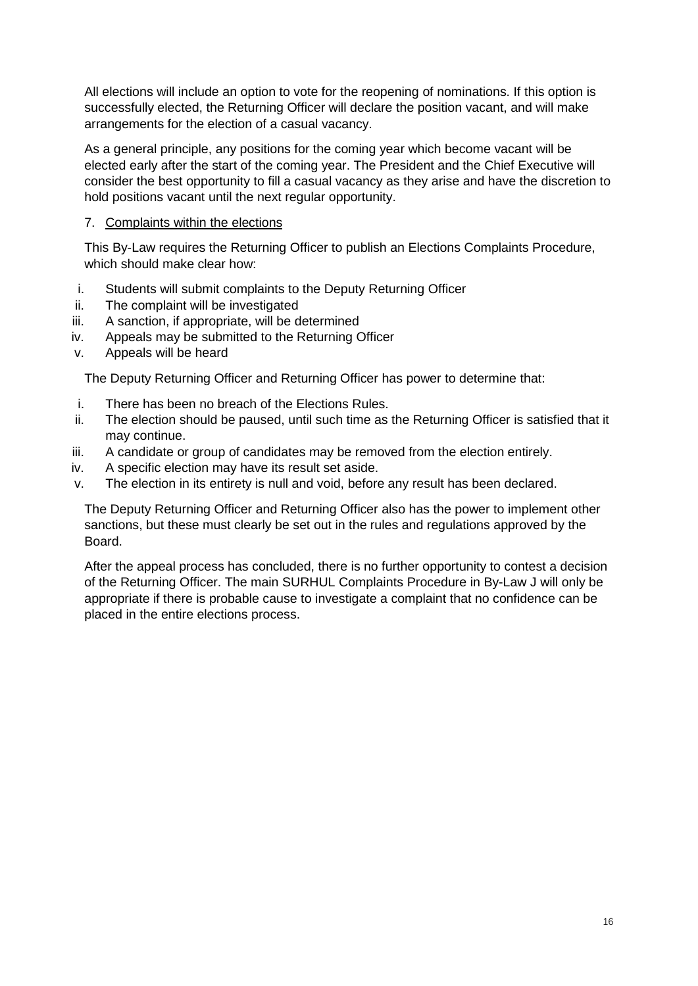All elections will include an option to vote for the reopening of nominations. If this option is successfully elected, the Returning Officer will declare the position vacant, and will make arrangements for the election of a casual vacancy.

As a general principle, any positions for the coming year which become vacant will be elected early after the start of the coming year. The President and the Chief Executive will consider the best opportunity to fill a casual vacancy as they arise and have the discretion to hold positions vacant until the next regular opportunity.

# 7. Complaints within the elections

This By-Law requires the Returning Officer to publish an Elections Complaints Procedure, which should make clear how:

- i. Students will submit complaints to the Deputy Returning Officer
- ii. The complaint will be investigated
- iii. A sanction, if appropriate, will be determined
- iv. Appeals may be submitted to the Returning Officer
- v. Appeals will be heard

The Deputy Returning Officer and Returning Officer has power to determine that:

- i. There has been no breach of the Elections Rules.
- ii. The election should be paused, until such time as the Returning Officer is satisfied that it may continue.
- iii. A candidate or group of candidates may be removed from the election entirely.
- iv. A specific election may have its result set aside.
- v. The election in its entirety is null and void, before any result has been declared.

The Deputy Returning Officer and Returning Officer also has the power to implement other sanctions, but these must clearly be set out in the rules and regulations approved by the Board.

After the appeal process has concluded, there is no further opportunity to contest a decision of the Returning Officer. The main SURHUL Complaints Procedure in By-Law J will only be appropriate if there is probable cause to investigate a complaint that no confidence can be placed in the entire elections process.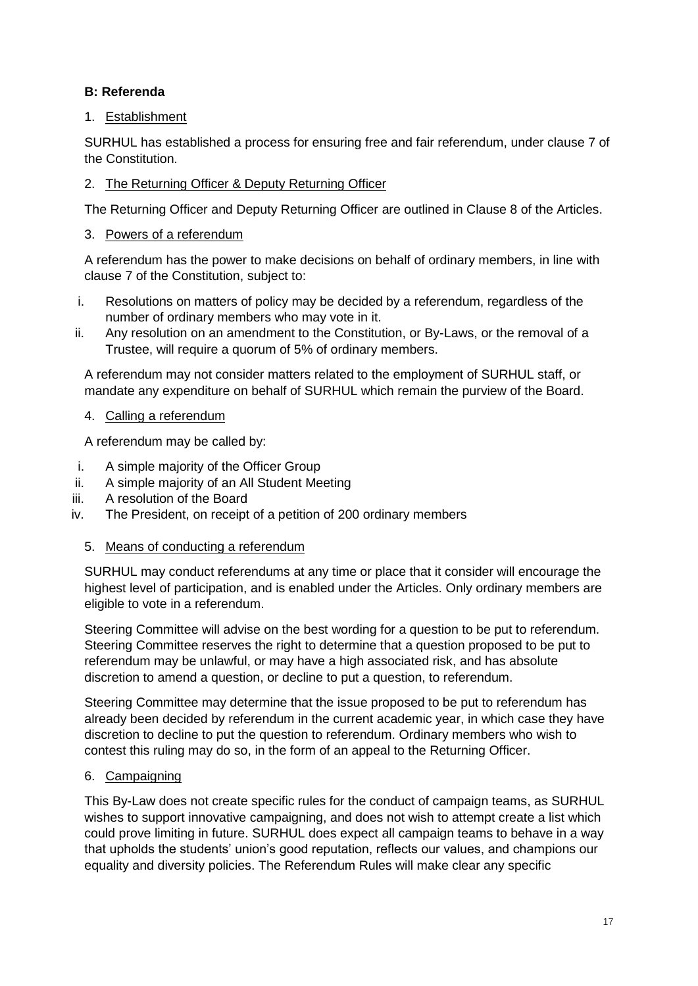# **B: Referenda**

# 1. Establishment

SURHUL has established a process for ensuring free and fair referendum, under clause 7 of the Constitution.

# 2. The Returning Officer & Deputy Returning Officer

The Returning Officer and Deputy Returning Officer are outlined in Clause 8 of the Articles.

## 3. Powers of a referendum

A referendum has the power to make decisions on behalf of ordinary members, in line with clause 7 of the Constitution, subject to:

- i. Resolutions on matters of policy may be decided by a referendum, regardless of the number of ordinary members who may vote in it.
- ii. Any resolution on an amendment to the Constitution, or By-Laws, or the removal of a Trustee, will require a quorum of 5% of ordinary members.

A referendum may not consider matters related to the employment of SURHUL staff, or mandate any expenditure on behalf of SURHUL which remain the purview of the Board.

4. Calling a referendum

A referendum may be called by:

- i. A simple majority of the Officer Group
- ii. A simple majority of an All Student Meeting
- iii. A resolution of the Board
- iv. The President, on receipt of a petition of 200 ordinary members

#### 5. Means of conducting a referendum

SURHUL may conduct referendums at any time or place that it consider will encourage the highest level of participation, and is enabled under the Articles. Only ordinary members are eligible to vote in a referendum.

Steering Committee will advise on the best wording for a question to be put to referendum. Steering Committee reserves the right to determine that a question proposed to be put to referendum may be unlawful, or may have a high associated risk, and has absolute discretion to amend a question, or decline to put a question, to referendum.

Steering Committee may determine that the issue proposed to be put to referendum has already been decided by referendum in the current academic year, in which case they have discretion to decline to put the question to referendum. Ordinary members who wish to contest this ruling may do so, in the form of an appeal to the Returning Officer.

# 6. Campaigning

This By-Law does not create specific rules for the conduct of campaign teams, as SURHUL wishes to support innovative campaigning, and does not wish to attempt create a list which could prove limiting in future. SURHUL does expect all campaign teams to behave in a way that upholds the students' union's good reputation, reflects our values, and champions our equality and diversity policies. The Referendum Rules will make clear any specific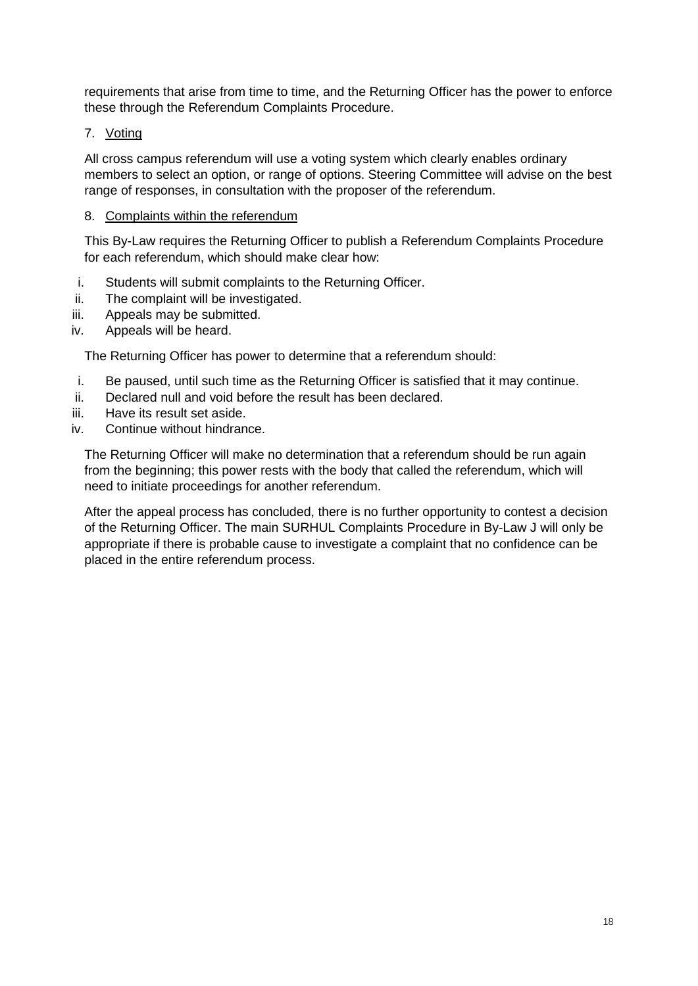requirements that arise from time to time, and the Returning Officer has the power to enforce these through the Referendum Complaints Procedure.

## 7. Voting

All cross campus referendum will use a voting system which clearly enables ordinary members to select an option, or range of options. Steering Committee will advise on the best range of responses, in consultation with the proposer of the referendum.

### 8. Complaints within the referendum

This By-Law requires the Returning Officer to publish a Referendum Complaints Procedure for each referendum, which should make clear how:

- i. Students will submit complaints to the Returning Officer.
- ii. The complaint will be investigated.
- iii. Appeals may be submitted.
- iv. Appeals will be heard.

The Returning Officer has power to determine that a referendum should:

- i. Be paused, until such time as the Returning Officer is satisfied that it may continue.
- ii. Declared null and void before the result has been declared.
- iii. Have its result set aside.
- iv. Continue without hindrance.

The Returning Officer will make no determination that a referendum should be run again from the beginning; this power rests with the body that called the referendum, which will need to initiate proceedings for another referendum.

After the appeal process has concluded, there is no further opportunity to contest a decision of the Returning Officer. The main SURHUL Complaints Procedure in By-Law J will only be appropriate if there is probable cause to investigate a complaint that no confidence can be placed in the entire referendum process.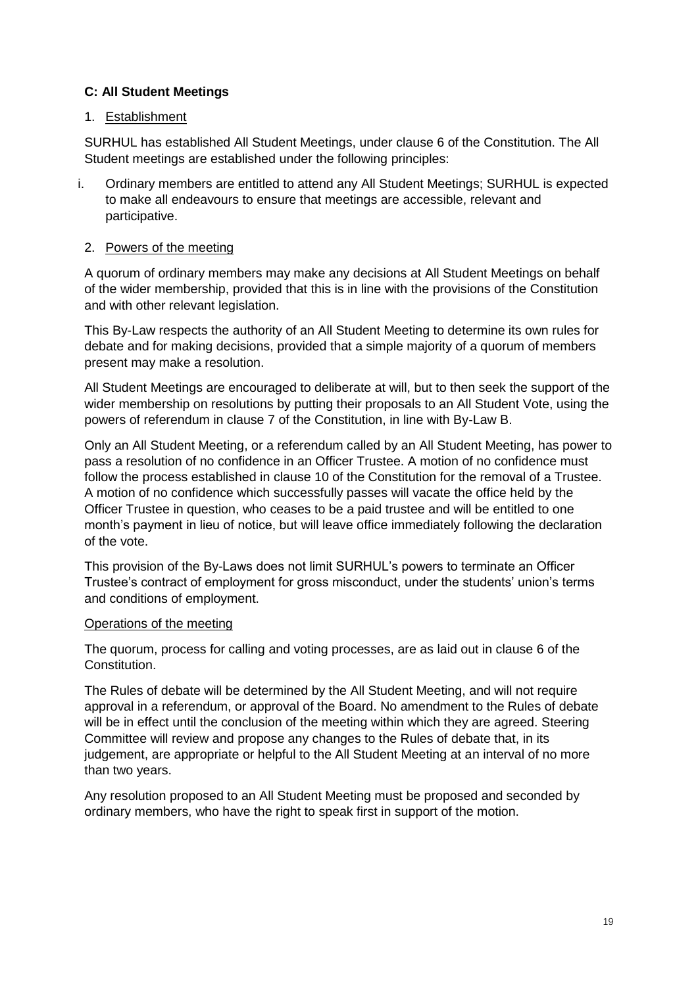## **C: All Student Meetings**

#### 1. Establishment

SURHUL has established All Student Meetings, under clause 6 of the Constitution. The All Student meetings are established under the following principles:

i. Ordinary members are entitled to attend any All Student Meetings; SURHUL is expected to make all endeavours to ensure that meetings are accessible, relevant and participative.

## 2. Powers of the meeting

A quorum of ordinary members may make any decisions at All Student Meetings on behalf of the wider membership, provided that this is in line with the provisions of the Constitution and with other relevant legislation.

This By-Law respects the authority of an All Student Meeting to determine its own rules for debate and for making decisions, provided that a simple majority of a quorum of members present may make a resolution.

All Student Meetings are encouraged to deliberate at will, but to then seek the support of the wider membership on resolutions by putting their proposals to an All Student Vote, using the powers of referendum in clause 7 of the Constitution, in line with By-Law B.

Only an All Student Meeting, or a referendum called by an All Student Meeting, has power to pass a resolution of no confidence in an Officer Trustee. A motion of no confidence must follow the process established in clause 10 of the Constitution for the removal of a Trustee. A motion of no confidence which successfully passes will vacate the office held by the Officer Trustee in question, who ceases to be a paid trustee and will be entitled to one month's payment in lieu of notice, but will leave office immediately following the declaration of the vote.

This provision of the By-Laws does not limit SURHUL's powers to terminate an Officer Trustee's contract of employment for gross misconduct, under the students' union's terms and conditions of employment.

#### Operations of the meeting

The quorum, process for calling and voting processes, are as laid out in clause 6 of the Constitution.

The Rules of debate will be determined by the All Student Meeting, and will not require approval in a referendum, or approval of the Board. No amendment to the Rules of debate will be in effect until the conclusion of the meeting within which they are agreed. Steering Committee will review and propose any changes to the Rules of debate that, in its judgement, are appropriate or helpful to the All Student Meeting at an interval of no more than two years.

Any resolution proposed to an All Student Meeting must be proposed and seconded by ordinary members, who have the right to speak first in support of the motion.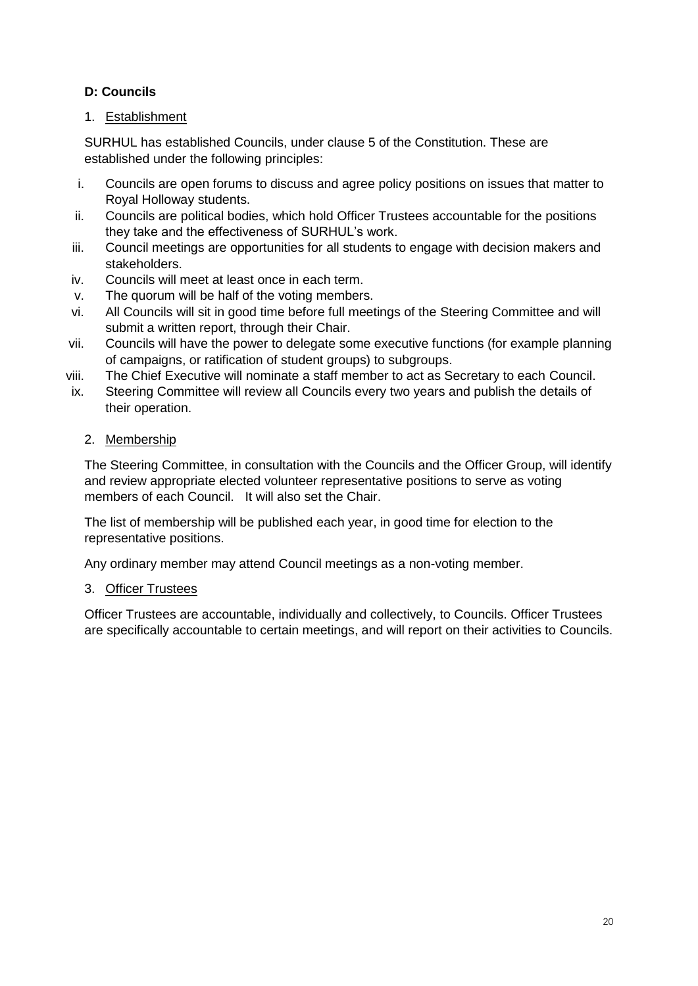# **D: Councils**

# 1. Establishment

SURHUL has established Councils, under clause 5 of the Constitution. These are established under the following principles:

- i. Councils are open forums to discuss and agree policy positions on issues that matter to Royal Holloway students.
- ii. Councils are political bodies, which hold Officer Trustees accountable for the positions they take and the effectiveness of SURHUL's work.
- iii. Council meetings are opportunities for all students to engage with decision makers and stakeholders.
- iv. Councils will meet at least once in each term.
- v. The quorum will be half of the voting members.
- vi. All Councils will sit in good time before full meetings of the Steering Committee and will submit a written report, through their Chair.
- vii. Councils will have the power to delegate some executive functions (for example planning of campaigns, or ratification of student groups) to subgroups.
- viii. The Chief Executive will nominate a staff member to act as Secretary to each Council.
- ix. Steering Committee will review all Councils every two years and publish the details of their operation.
	- 2. Membership

The Steering Committee, in consultation with the Councils and the Officer Group, will identify and review appropriate elected volunteer representative positions to serve as voting members of each Council. It will also set the Chair.

The list of membership will be published each year, in good time for election to the representative positions.

Any ordinary member may attend Council meetings as a non-voting member.

# 3. Officer Trustees

Officer Trustees are accountable, individually and collectively, to Councils. Officer Trustees are specifically accountable to certain meetings, and will report on their activities to Councils.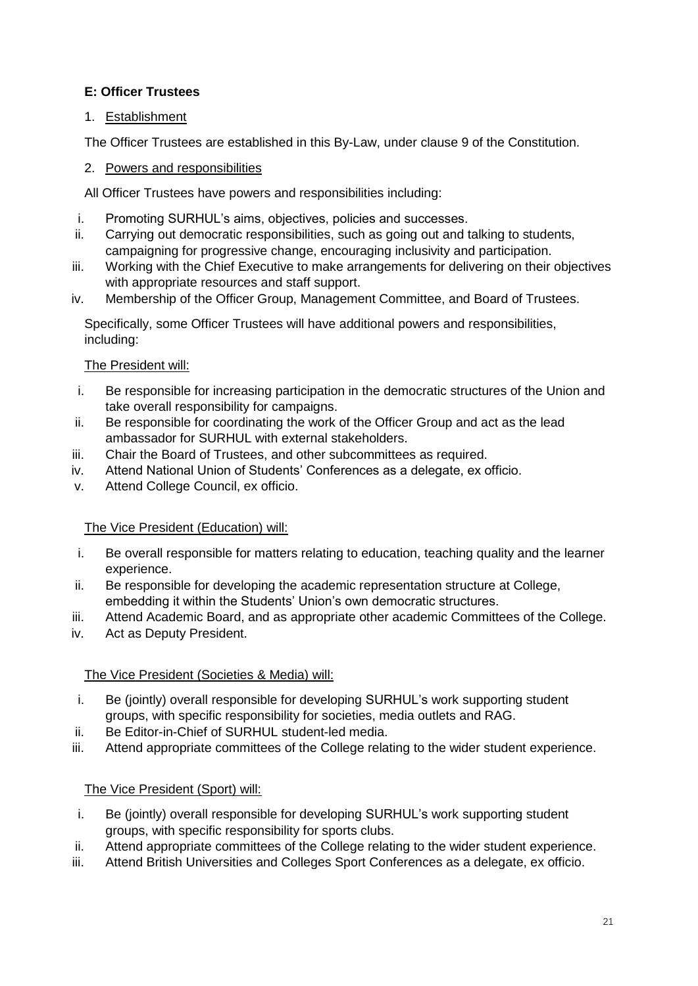# **E: Officer Trustees**

# 1. Establishment

The Officer Trustees are established in this By-Law, under clause 9 of the Constitution.

# 2. Powers and responsibilities

All Officer Trustees have powers and responsibilities including:

- i. Promoting SURHUL's aims, objectives, policies and successes.
- ii. Carrying out democratic responsibilities, such as going out and talking to students, campaigning for progressive change, encouraging inclusivity and participation.
- iii. Working with the Chief Executive to make arrangements for delivering on their objectives with appropriate resources and staff support.
- iv. Membership of the Officer Group, Management Committee, and Board of Trustees.

Specifically, some Officer Trustees will have additional powers and responsibilities, including:

# The President will:

- i. Be responsible for increasing participation in the democratic structures of the Union and take overall responsibility for campaigns.
- ii. Be responsible for coordinating the work of the Officer Group and act as the lead ambassador for SURHUL with external stakeholders.
- iii. Chair the Board of Trustees, and other subcommittees as required.
- iv. Attend National Union of Students' Conferences as a delegate, ex officio.
- v. Attend College Council, ex officio.

# The Vice President (Education) will:

- i. Be overall responsible for matters relating to education, teaching quality and the learner experience.
- ii. Be responsible for developing the academic representation structure at College, embedding it within the Students' Union's own democratic structures.
- iii. Attend Academic Board, and as appropriate other academic Committees of the College.
- iv. Act as Deputy President.

# The Vice President (Societies & Media) will:

- i. Be (jointly) overall responsible for developing SURHUL's work supporting student groups, with specific responsibility for societies, media outlets and RAG.
- ii. Be Editor-in-Chief of SURHUL student-led media.
- iii. Attend appropriate committees of the College relating to the wider student experience.

# The Vice President (Sport) will:

- i. Be (jointly) overall responsible for developing SURHUL's work supporting student groups, with specific responsibility for sports clubs.
- ii. Attend appropriate committees of the College relating to the wider student experience.
- iii. Attend British Universities and Colleges Sport Conferences as a delegate, ex officio.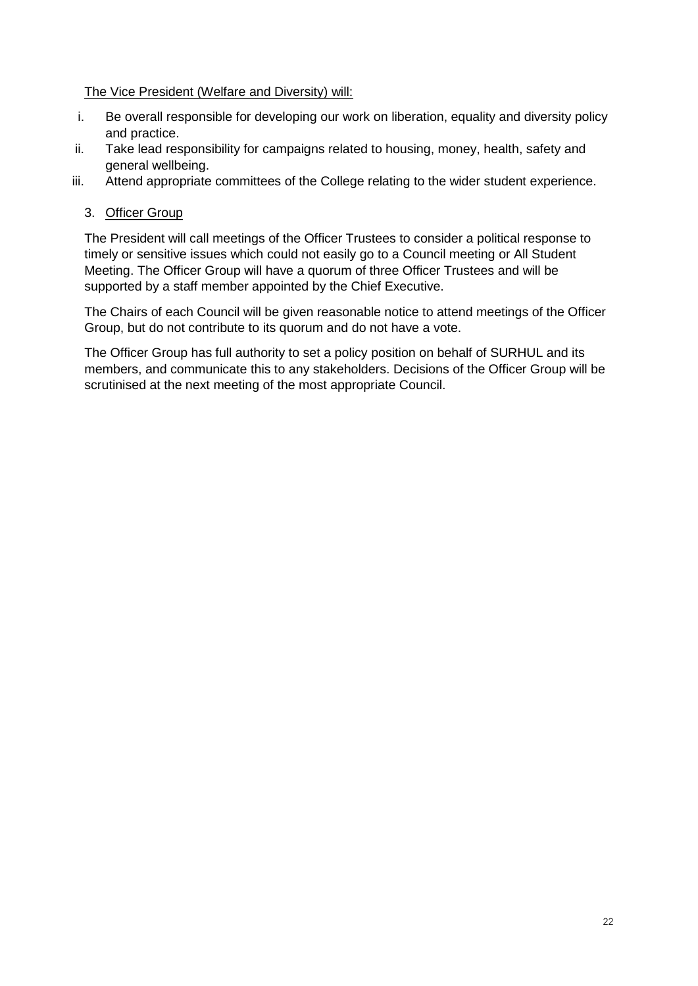#### The Vice President (Welfare and Diversity) will:

- i. Be overall responsible for developing our work on liberation, equality and diversity policy and practice.
- ii. Take lead responsibility for campaigns related to housing, money, health, safety and general wellbeing.
- iii. Attend appropriate committees of the College relating to the wider student experience.

## 3. Officer Group

The President will call meetings of the Officer Trustees to consider a political response to timely or sensitive issues which could not easily go to a Council meeting or All Student Meeting. The Officer Group will have a quorum of three Officer Trustees and will be supported by a staff member appointed by the Chief Executive.

The Chairs of each Council will be given reasonable notice to attend meetings of the Officer Group, but do not contribute to its quorum and do not have a vote.

The Officer Group has full authority to set a policy position on behalf of SURHUL and its members, and communicate this to any stakeholders. Decisions of the Officer Group will be scrutinised at the next meeting of the most appropriate Council.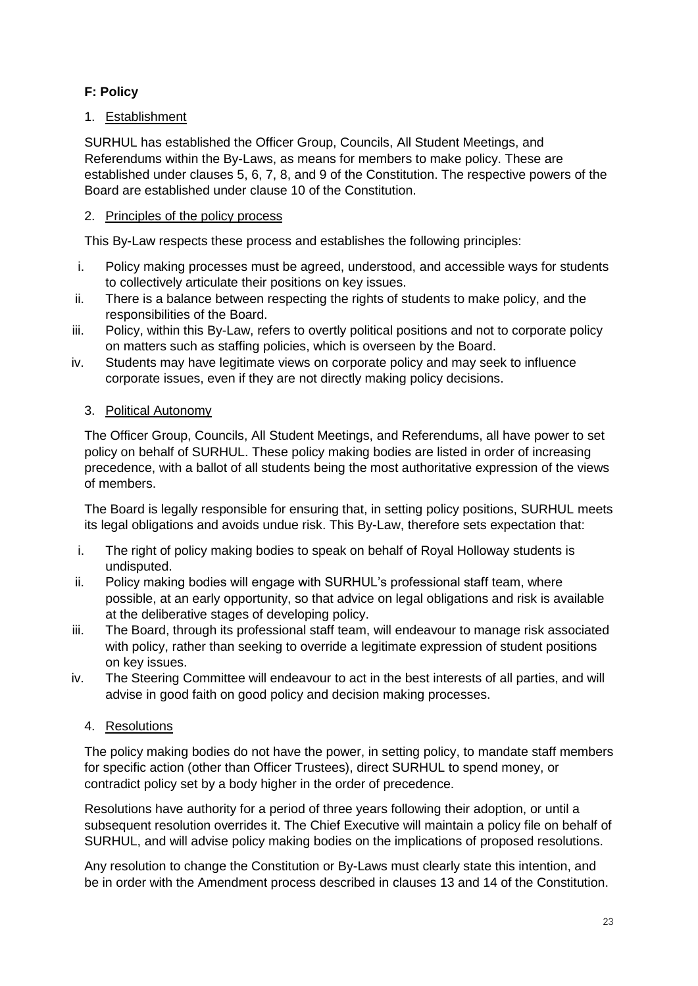# **F: Policy**

# 1. Establishment

SURHUL has established the Officer Group, Councils, All Student Meetings, and Referendums within the By-Laws, as means for members to make policy. These are established under clauses 5, 6, 7, 8, and 9 of the Constitution. The respective powers of the Board are established under clause 10 of the Constitution.

### 2. Principles of the policy process

This By-Law respects these process and establishes the following principles:

- i. Policy making processes must be agreed, understood, and accessible ways for students to collectively articulate their positions on key issues.
- ii. There is a balance between respecting the rights of students to make policy, and the responsibilities of the Board.
- iii. Policy, within this By-Law, refers to overtly political positions and not to corporate policy on matters such as staffing policies, which is overseen by the Board.
- iv. Students may have legitimate views on corporate policy and may seek to influence corporate issues, even if they are not directly making policy decisions.

## 3. Political Autonomy

The Officer Group, Councils, All Student Meetings, and Referendums, all have power to set policy on behalf of SURHUL. These policy making bodies are listed in order of increasing precedence, with a ballot of all students being the most authoritative expression of the views of members.

The Board is legally responsible for ensuring that, in setting policy positions, SURHUL meets its legal obligations and avoids undue risk. This By-Law, therefore sets expectation that:

- i. The right of policy making bodies to speak on behalf of Royal Holloway students is undisputed.
- ii. Policy making bodies will engage with SURHUL's professional staff team, where possible, at an early opportunity, so that advice on legal obligations and risk is available at the deliberative stages of developing policy.
- iii. The Board, through its professional staff team, will endeavour to manage risk associated with policy, rather than seeking to override a legitimate expression of student positions on key issues.
- iv. The Steering Committee will endeavour to act in the best interests of all parties, and will advise in good faith on good policy and decision making processes.

# 4. Resolutions

The policy making bodies do not have the power, in setting policy, to mandate staff members for specific action (other than Officer Trustees), direct SURHUL to spend money, or contradict policy set by a body higher in the order of precedence.

Resolutions have authority for a period of three years following their adoption, or until a subsequent resolution overrides it. The Chief Executive will maintain a policy file on behalf of SURHUL, and will advise policy making bodies on the implications of proposed resolutions.

Any resolution to change the Constitution or By-Laws must clearly state this intention, and be in order with the Amendment process described in clauses 13 and 14 of the Constitution.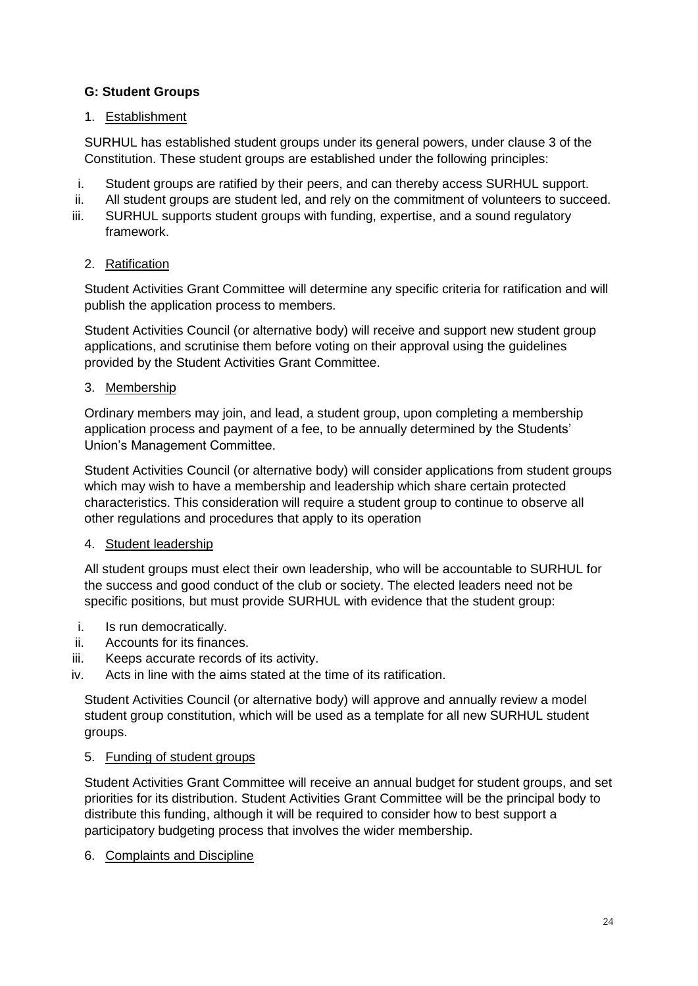# **G: Student Groups**

## 1. Establishment

SURHUL has established student groups under its general powers, under clause 3 of the Constitution. These student groups are established under the following principles:

- i. Student groups are ratified by their peers, and can thereby access SURHUL support.
- ii. All student groups are student led, and rely on the commitment of volunteers to succeed.
- iii. SURHUL supports student groups with funding, expertise, and a sound regulatory framework.

## 2. Ratification

Student Activities Grant Committee will determine any specific criteria for ratification and will publish the application process to members.

Student Activities Council (or alternative body) will receive and support new student group applications, and scrutinise them before voting on their approval using the guidelines provided by the Student Activities Grant Committee.

## 3. Membership

Ordinary members may join, and lead, a student group, upon completing a membership application process and payment of a fee, to be annually determined by the Students' Union's Management Committee.

Student Activities Council (or alternative body) will consider applications from student groups which may wish to have a membership and leadership which share certain protected characteristics. This consideration will require a student group to continue to observe all other regulations and procedures that apply to its operation

#### 4. Student leadership

All student groups must elect their own leadership, who will be accountable to SURHUL for the success and good conduct of the club or society. The elected leaders need not be specific positions, but must provide SURHUL with evidence that the student group:

- i. Is run democratically.
- ii. Accounts for its finances.
- iii. Keeps accurate records of its activity.
- iv. Acts in line with the aims stated at the time of its ratification.

Student Activities Council (or alternative body) will approve and annually review a model student group constitution, which will be used as a template for all new SURHUL student groups.

#### 5. Funding of student groups

Student Activities Grant Committee will receive an annual budget for student groups, and set priorities for its distribution. Student Activities Grant Committee will be the principal body to distribute this funding, although it will be required to consider how to best support a participatory budgeting process that involves the wider membership.

#### 6. Complaints and Discipline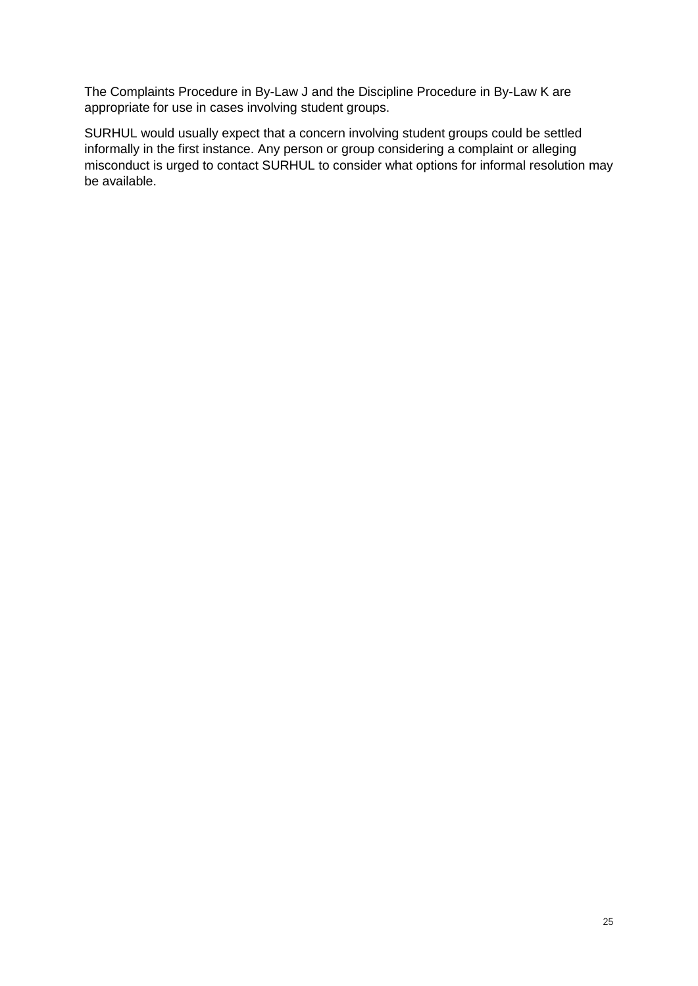The Complaints Procedure in By-Law J and the Discipline Procedure in By-Law K are appropriate for use in cases involving student groups.

SURHUL would usually expect that a concern involving student groups could be settled informally in the first instance. Any person or group considering a complaint or alleging misconduct is urged to contact SURHUL to consider what options for informal resolution may be available.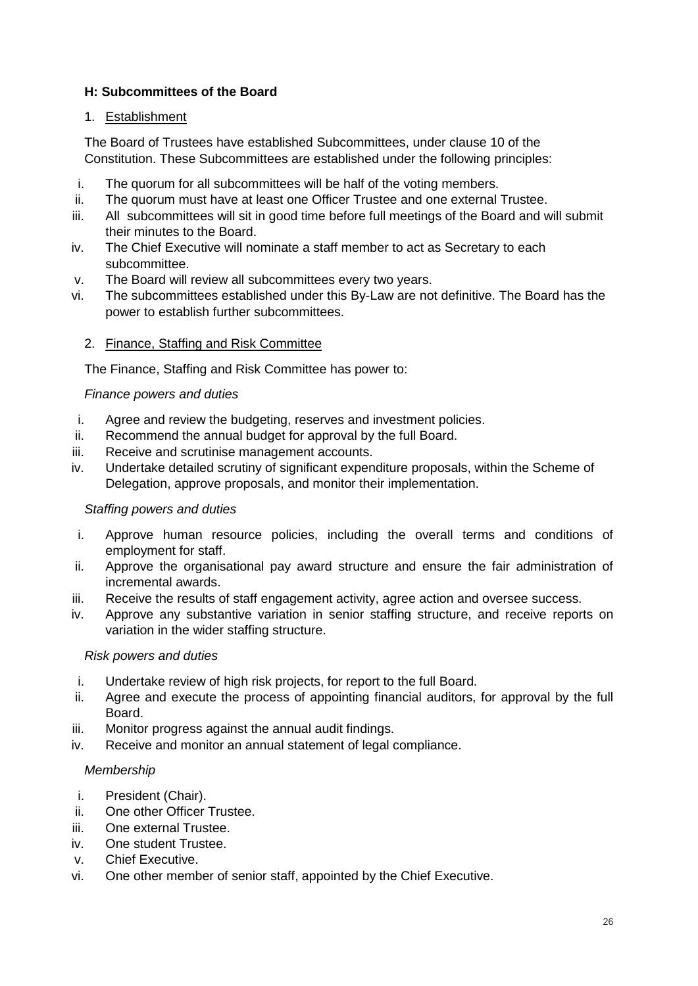## **H: Subcommittees of the Board**

## 1. Establishment

The Board of Trustees have established Subcommittees, under clause 10 of the Constitution. These Subcommittees are established under the following principles:

- i. The quorum for all subcommittees will be half of the voting members.
- ii. The quorum must have at least one Officer Trustee and one external Trustee.
- iii. All subcommittees will sit in good time before full meetings of the Board and will submit their minutes to the Board.
- iv. The Chief Executive will nominate a staff member to act as Secretary to each subcommittee.
- v. The Board will review all subcommittees every two years.
- vi. The subcommittees established under this By-Law are not definitive. The Board has the power to establish further subcommittees.

## 2. Finance, Staffing and Risk Committee

The Finance, Staffing and Risk Committee has power to:

#### *Finance powers and duties*

- i. Agree and review the budgeting, reserves and investment policies.
- ii. Recommend the annual budget for approval by the full Board.
- iii. Receive and scrutinise management accounts.
- iv. Undertake detailed scrutiny of significant expenditure proposals, within the Scheme of Delegation, approve proposals, and monitor their implementation.

#### *Staffing powers and duties*

- i. Approve human resource policies, including the overall terms and conditions of employment for staff.
- ii. Approve the organisational pay award structure and ensure the fair administration of incremental awards.
- iii. Receive the results of staff engagement activity, agree action and oversee success.
- iv. Approve any substantive variation in senior staffing structure, and receive reports on variation in the wider staffing structure.

#### *Risk powers and duties*

- i. Undertake review of high risk projects, for report to the full Board.
- ii. Agree and execute the process of appointing financial auditors, for approval by the full Board.
- iii. Monitor progress against the annual audit findings.
- iv. Receive and monitor an annual statement of legal compliance.

#### *Membership*

- i. President (Chair).
- ii. One other Officer Trustee.
- iii. One external Trustee.
- iv. One student Trustee.
- v. Chief Executive.
- vi. One other member of senior staff, appointed by the Chief Executive.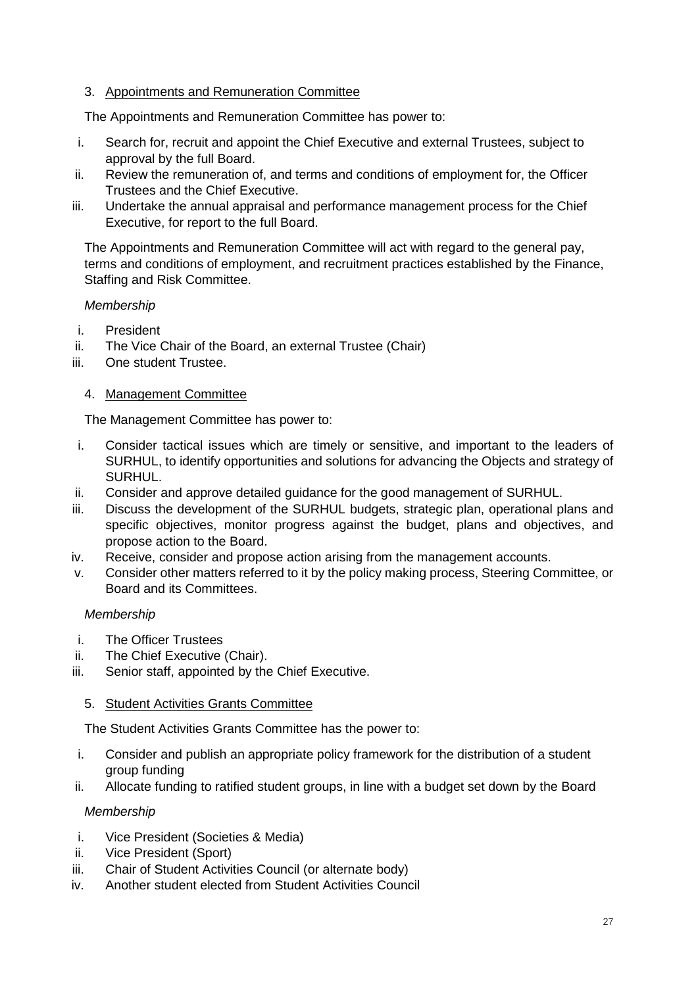## 3. Appointments and Remuneration Committee

The Appointments and Remuneration Committee has power to:

- i. Search for, recruit and appoint the Chief Executive and external Trustees, subject to approval by the full Board.
- ii. Review the remuneration of, and terms and conditions of employment for, the Officer Trustees and the Chief Executive.
- iii. Undertake the annual appraisal and performance management process for the Chief Executive, for report to the full Board.

The Appointments and Remuneration Committee will act with regard to the general pay, terms and conditions of employment, and recruitment practices established by the Finance, Staffing and Risk Committee.

## *Membership*

- i. President
- ii. The Vice Chair of the Board, an external Trustee (Chair)
- iii. One student Trustee.

#### 4. Management Committee

The Management Committee has power to:

- i. Consider tactical issues which are timely or sensitive, and important to the leaders of SURHUL, to identify opportunities and solutions for advancing the Objects and strategy of SURHUL.
- ii. Consider and approve detailed guidance for the good management of SURHUL.
- iii. Discuss the development of the SURHUL budgets, strategic plan, operational plans and specific objectives, monitor progress against the budget, plans and objectives, and propose action to the Board.
- iv. Receive, consider and propose action arising from the management accounts.
- v. Consider other matters referred to it by the policy making process, Steering Committee, or Board and its Committees.

#### *Membership*

- i. The Officer Trustees
- ii. The Chief Executive (Chair).
- iii. Senior staff, appointed by the Chief Executive.

#### 5. Student Activities Grants Committee

The Student Activities Grants Committee has the power to:

- i. Consider and publish an appropriate policy framework for the distribution of a student group funding
- ii. Allocate funding to ratified student groups, in line with a budget set down by the Board

#### *Membership*

- i. Vice President (Societies & Media)
- ii. Vice President (Sport)
- iii. Chair of Student Activities Council (or alternate body)
- iv. Another student elected from Student Activities Council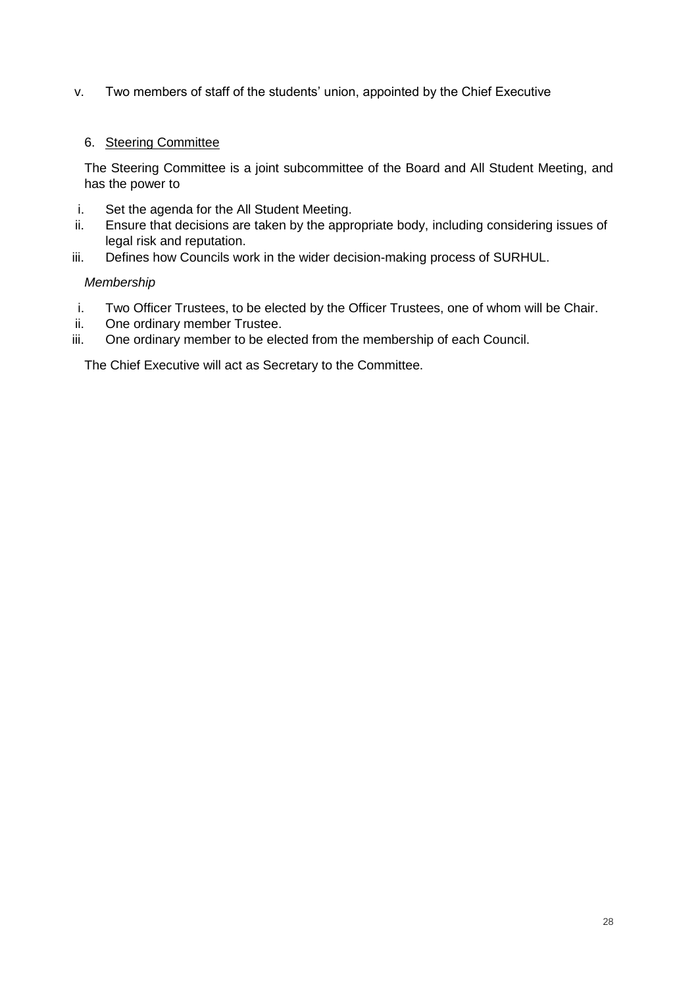v. Two members of staff of the students' union, appointed by the Chief Executive

## 6. Steering Committee

The Steering Committee is a joint subcommittee of the Board and All Student Meeting, and has the power to

- i. Set the agenda for the All Student Meeting.
- ii. Ensure that decisions are taken by the appropriate body, including considering issues of legal risk and reputation.
- iii. Defines how Councils work in the wider decision-making process of SURHUL.

## *Membership*

- i. Two Officer Trustees, to be elected by the Officer Trustees, one of whom will be Chair.
- ii. One ordinary member Trustee.
- iii. One ordinary member to be elected from the membership of each Council.

The Chief Executive will act as Secretary to the Committee.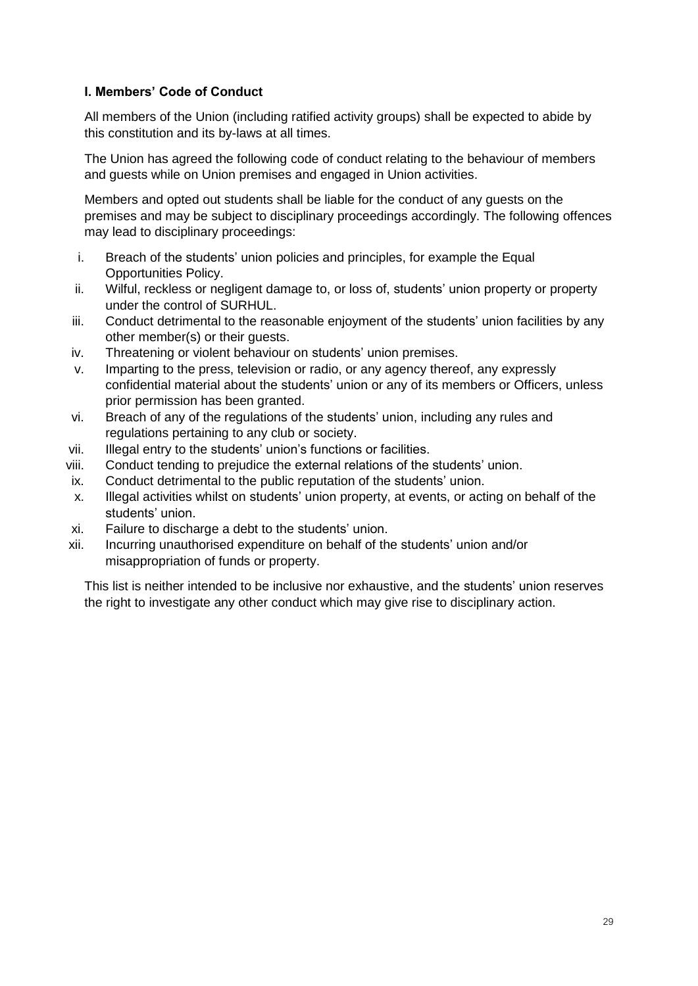## **I. Members' Code of Conduct**

All members of the Union (including ratified activity groups) shall be expected to abide by this constitution and its by-laws at all times.

The Union has agreed the following code of conduct relating to the behaviour of members and guests while on Union premises and engaged in Union activities.

Members and opted out students shall be liable for the conduct of any guests on the premises and may be subject to disciplinary proceedings accordingly. The following offences may lead to disciplinary proceedings:

- i. Breach of the students' union policies and principles, for example the Equal Opportunities Policy.
- ii. Wilful, reckless or negligent damage to, or loss of, students' union property or property under the control of SURHUL.
- iii. Conduct detrimental to the reasonable enjoyment of the students' union facilities by any other member(s) or their guests.
- iv. Threatening or violent behaviour on students' union premises.
- v. Imparting to the press, television or radio, or any agency thereof, any expressly confidential material about the students' union or any of its members or Officers, unless prior permission has been granted.
- vi. Breach of any of the regulations of the students' union, including any rules and regulations pertaining to any club or society.
- vii. Illegal entry to the students' union's functions or facilities.
- viii. Conduct tending to prejudice the external relations of the students' union.
- ix. Conduct detrimental to the public reputation of the students' union.
- x. Illegal activities whilst on students' union property, at events, or acting on behalf of the students' union.
- xi. Failure to discharge a debt to the students' union.
- xii. Incurring unauthorised expenditure on behalf of the students' union and/or misappropriation of funds or property.

This list is neither intended to be inclusive nor exhaustive, and the students' union reserves the right to investigate any other conduct which may give rise to disciplinary action.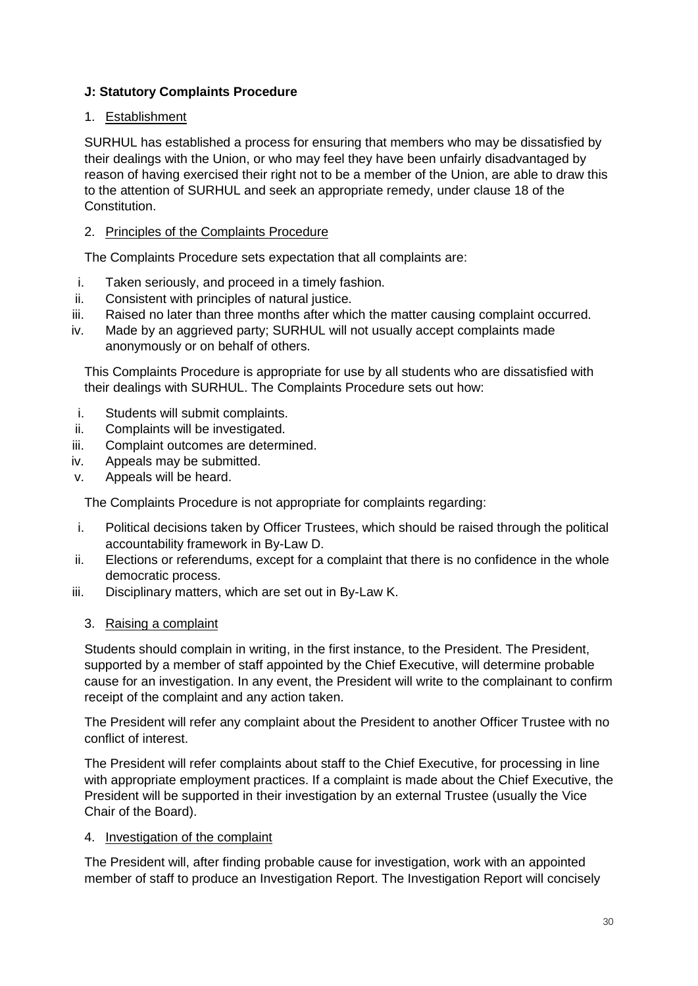# **J: Statutory Complaints Procedure**

## 1. Establishment

SURHUL has established a process for ensuring that members who may be dissatisfied by their dealings with the Union, or who may feel they have been unfairly disadvantaged by reason of having exercised their right not to be a member of the Union, are able to draw this to the attention of SURHUL and seek an appropriate remedy, under clause 18 of the Constitution.

## 2. Principles of the Complaints Procedure

The Complaints Procedure sets expectation that all complaints are:

- i. Taken seriously, and proceed in a timely fashion.
- ii. Consistent with principles of natural justice.
- iii. Raised no later than three months after which the matter causing complaint occurred.
- iv. Made by an aggrieved party; SURHUL will not usually accept complaints made anonymously or on behalf of others.

This Complaints Procedure is appropriate for use by all students who are dissatisfied with their dealings with SURHUL. The Complaints Procedure sets out how:

- i. Students will submit complaints.
- ii. Complaints will be investigated.
- iii. Complaint outcomes are determined.
- iv. Appeals may be submitted.
- v. Appeals will be heard.

The Complaints Procedure is not appropriate for complaints regarding:

- i. Political decisions taken by Officer Trustees, which should be raised through the political accountability framework in By-Law D.
- ii. Elections or referendums, except for a complaint that there is no confidence in the whole democratic process.
- iii. Disciplinary matters, which are set out in By-Law K.
	- 3. Raising a complaint

Students should complain in writing, in the first instance, to the President. The President, supported by a member of staff appointed by the Chief Executive, will determine probable cause for an investigation. In any event, the President will write to the complainant to confirm receipt of the complaint and any action taken.

The President will refer any complaint about the President to another Officer Trustee with no conflict of interest.

The President will refer complaints about staff to the Chief Executive, for processing in line with appropriate employment practices. If a complaint is made about the Chief Executive, the President will be supported in their investigation by an external Trustee (usually the Vice Chair of the Board).

#### 4. Investigation of the complaint

The President will, after finding probable cause for investigation, work with an appointed member of staff to produce an Investigation Report. The Investigation Report will concisely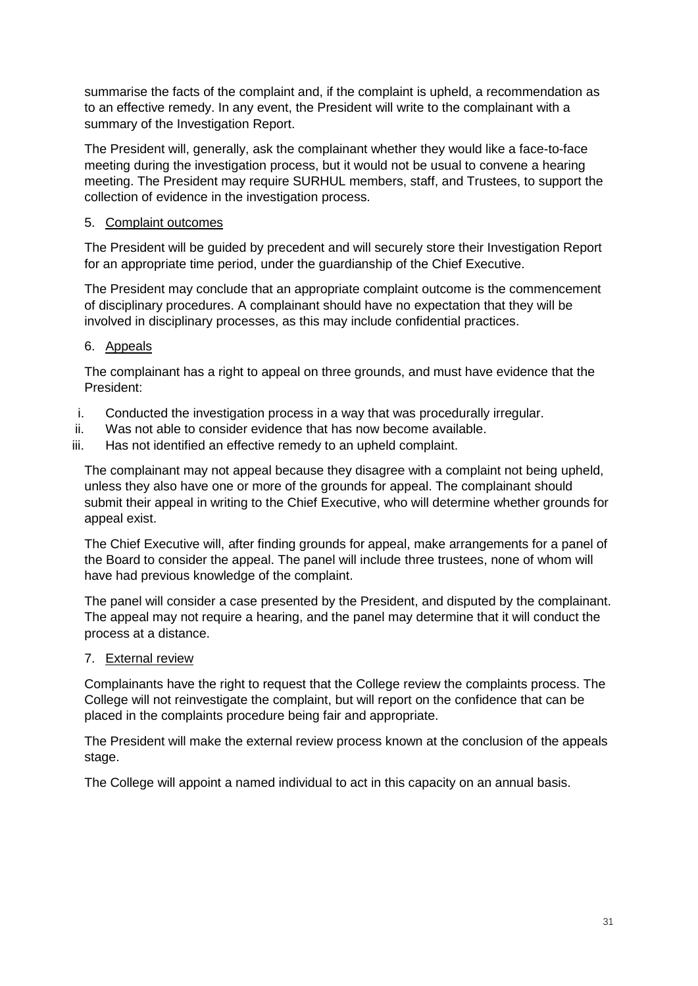summarise the facts of the complaint and, if the complaint is upheld, a recommendation as to an effective remedy. In any event, the President will write to the complainant with a summary of the Investigation Report.

The President will, generally, ask the complainant whether they would like a face-to-face meeting during the investigation process, but it would not be usual to convene a hearing meeting. The President may require SURHUL members, staff, and Trustees, to support the collection of evidence in the investigation process.

# 5. Complaint outcomes

The President will be guided by precedent and will securely store their Investigation Report for an appropriate time period, under the guardianship of the Chief Executive.

The President may conclude that an appropriate complaint outcome is the commencement of disciplinary procedures. A complainant should have no expectation that they will be involved in disciplinary processes, as this may include confidential practices.

# 6. Appeals

The complainant has a right to appeal on three grounds, and must have evidence that the President:

- i. Conducted the investigation process in a way that was procedurally irregular.
- ii. Was not able to consider evidence that has now become available.
- iii. Has not identified an effective remedy to an upheld complaint.

The complainant may not appeal because they disagree with a complaint not being upheld, unless they also have one or more of the grounds for appeal. The complainant should submit their appeal in writing to the Chief Executive, who will determine whether grounds for appeal exist.

The Chief Executive will, after finding grounds for appeal, make arrangements for a panel of the Board to consider the appeal. The panel will include three trustees, none of whom will have had previous knowledge of the complaint.

The panel will consider a case presented by the President, and disputed by the complainant. The appeal may not require a hearing, and the panel may determine that it will conduct the process at a distance.

7. External review

Complainants have the right to request that the College review the complaints process. The College will not reinvestigate the complaint, but will report on the confidence that can be placed in the complaints procedure being fair and appropriate.

The President will make the external review process known at the conclusion of the appeals stage.

The College will appoint a named individual to act in this capacity on an annual basis.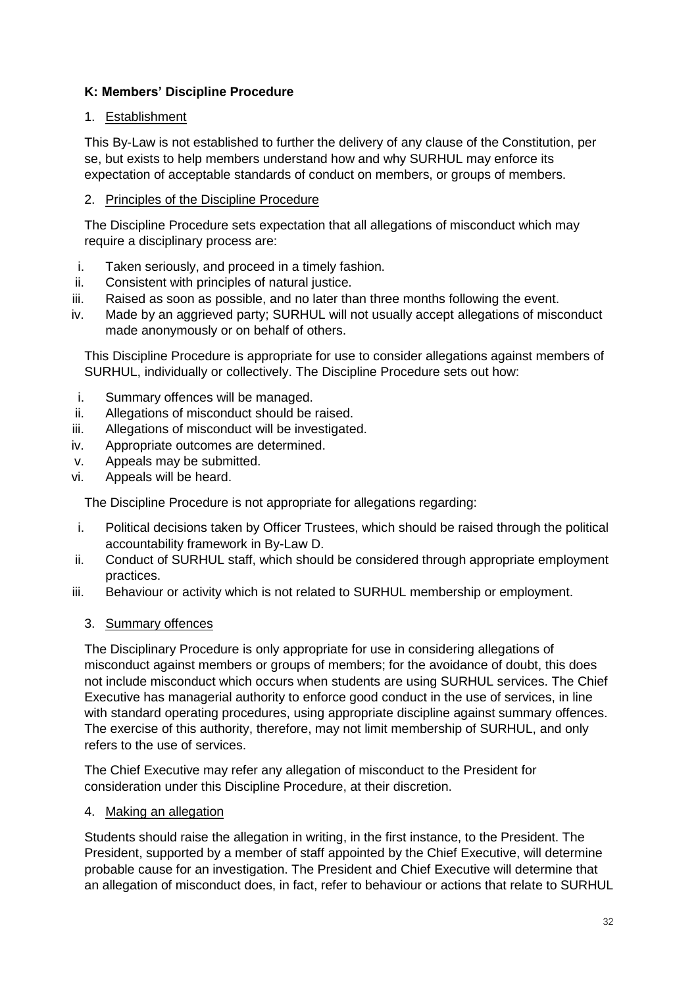# **K: Members' Discipline Procedure**

## 1. Establishment

This By-Law is not established to further the delivery of any clause of the Constitution, per se, but exists to help members understand how and why SURHUL may enforce its expectation of acceptable standards of conduct on members, or groups of members.

## 2. Principles of the Discipline Procedure

The Discipline Procedure sets expectation that all allegations of misconduct which may require a disciplinary process are:

- i. Taken seriously, and proceed in a timely fashion.
- ii. Consistent with principles of natural justice.
- iii. Raised as soon as possible, and no later than three months following the event.
- iv. Made by an aggrieved party; SURHUL will not usually accept allegations of misconduct made anonymously or on behalf of others.

This Discipline Procedure is appropriate for use to consider allegations against members of SURHUL, individually or collectively. The Discipline Procedure sets out how:

- i. Summary offences will be managed.
- ii. Allegations of misconduct should be raised.
- iii. Allegations of misconduct will be investigated.
- iv. Appropriate outcomes are determined.
- v. Appeals may be submitted.
- vi. Appeals will be heard.

The Discipline Procedure is not appropriate for allegations regarding:

- i. Political decisions taken by Officer Trustees, which should be raised through the political accountability framework in By-Law D.
- ii. Conduct of SURHUL staff, which should be considered through appropriate employment practices.
- iii. Behaviour or activity which is not related to SURHUL membership or employment.

#### 3. Summary offences

The Disciplinary Procedure is only appropriate for use in considering allegations of misconduct against members or groups of members; for the avoidance of doubt, this does not include misconduct which occurs when students are using SURHUL services. The Chief Executive has managerial authority to enforce good conduct in the use of services, in line with standard operating procedures, using appropriate discipline against summary offences. The exercise of this authority, therefore, may not limit membership of SURHUL, and only refers to the use of services.

The Chief Executive may refer any allegation of misconduct to the President for consideration under this Discipline Procedure, at their discretion.

#### 4. Making an allegation

Students should raise the allegation in writing, in the first instance, to the President. The President, supported by a member of staff appointed by the Chief Executive, will determine probable cause for an investigation. The President and Chief Executive will determine that an allegation of misconduct does, in fact, refer to behaviour or actions that relate to SURHUL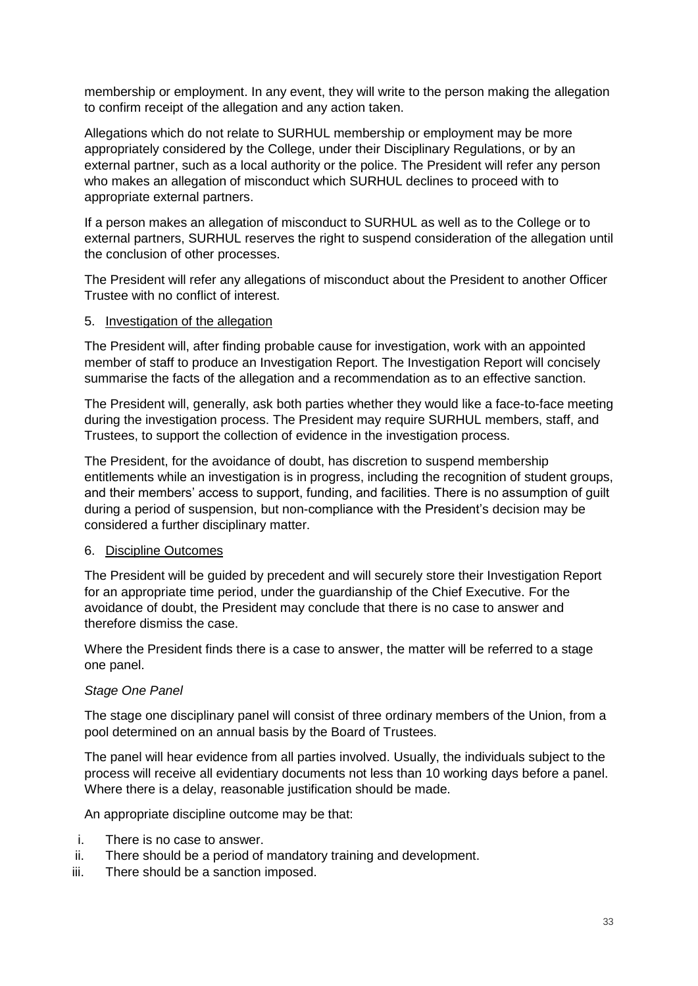membership or employment. In any event, they will write to the person making the allegation to confirm receipt of the allegation and any action taken.

Allegations which do not relate to SURHUL membership or employment may be more appropriately considered by the College, under their Disciplinary Regulations, or by an external partner, such as a local authority or the police. The President will refer any person who makes an allegation of misconduct which SURHUL declines to proceed with to appropriate external partners.

If a person makes an allegation of misconduct to SURHUL as well as to the College or to external partners, SURHUL reserves the right to suspend consideration of the allegation until the conclusion of other processes.

The President will refer any allegations of misconduct about the President to another Officer Trustee with no conflict of interest.

#### 5. Investigation of the allegation

The President will, after finding probable cause for investigation, work with an appointed member of staff to produce an Investigation Report. The Investigation Report will concisely summarise the facts of the allegation and a recommendation as to an effective sanction.

The President will, generally, ask both parties whether they would like a face-to-face meeting during the investigation process. The President may require SURHUL members, staff, and Trustees, to support the collection of evidence in the investigation process.

The President, for the avoidance of doubt, has discretion to suspend membership entitlements while an investigation is in progress, including the recognition of student groups, and their members' access to support, funding, and facilities. There is no assumption of guilt during a period of suspension, but non-compliance with the President's decision may be considered a further disciplinary matter.

#### 6. Discipline Outcomes

The President will be guided by precedent and will securely store their Investigation Report for an appropriate time period, under the guardianship of the Chief Executive. For the avoidance of doubt, the President may conclude that there is no case to answer and therefore dismiss the case.

Where the President finds there is a case to answer, the matter will be referred to a stage one panel.

#### *Stage One Panel*

The stage one disciplinary panel will consist of three ordinary members of the Union, from a pool determined on an annual basis by the Board of Trustees.

The panel will hear evidence from all parties involved. Usually, the individuals subject to the process will receive all evidentiary documents not less than 10 working days before a panel. Where there is a delay, reasonable justification should be made.

An appropriate discipline outcome may be that:

- i. There is no case to answer.
- ii. There should be a period of mandatory training and development.
- iii. There should be a sanction imposed.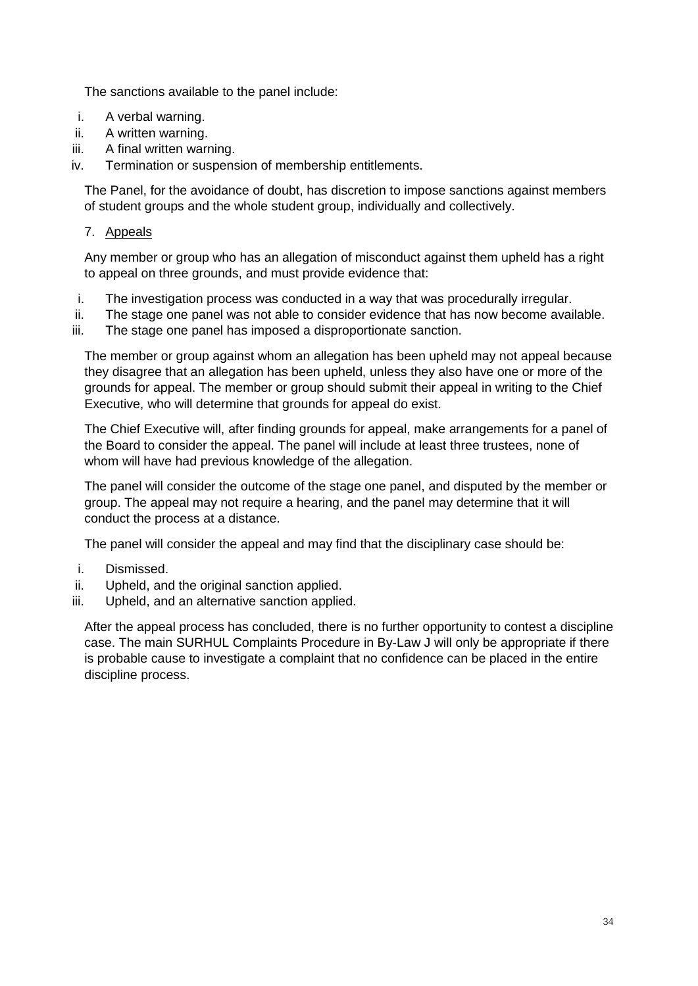The sanctions available to the panel include:

- i. A verbal warning.
- ii. A written warning.
- iii. A final written warning.
- iv. Termination or suspension of membership entitlements.

The Panel, for the avoidance of doubt, has discretion to impose sanctions against members of student groups and the whole student group, individually and collectively.

## 7. Appeals

Any member or group who has an allegation of misconduct against them upheld has a right to appeal on three grounds, and must provide evidence that:

- i. The investigation process was conducted in a way that was procedurally irregular.
- ii. The stage one panel was not able to consider evidence that has now become available.
- iii. The stage one panel has imposed a disproportionate sanction.

The member or group against whom an allegation has been upheld may not appeal because they disagree that an allegation has been upheld, unless they also have one or more of the grounds for appeal. The member or group should submit their appeal in writing to the Chief Executive, who will determine that grounds for appeal do exist.

The Chief Executive will, after finding grounds for appeal, make arrangements for a panel of the Board to consider the appeal. The panel will include at least three trustees, none of whom will have had previous knowledge of the allegation.

The panel will consider the outcome of the stage one panel, and disputed by the member or group. The appeal may not require a hearing, and the panel may determine that it will conduct the process at a distance.

The panel will consider the appeal and may find that the disciplinary case should be:

- i. Dismissed.
- ii. Upheld, and the original sanction applied.
- iii. Upheld, and an alternative sanction applied.

After the appeal process has concluded, there is no further opportunity to contest a discipline case. The main SURHUL Complaints Procedure in By-Law J will only be appropriate if there is probable cause to investigate a complaint that no confidence can be placed in the entire discipline process.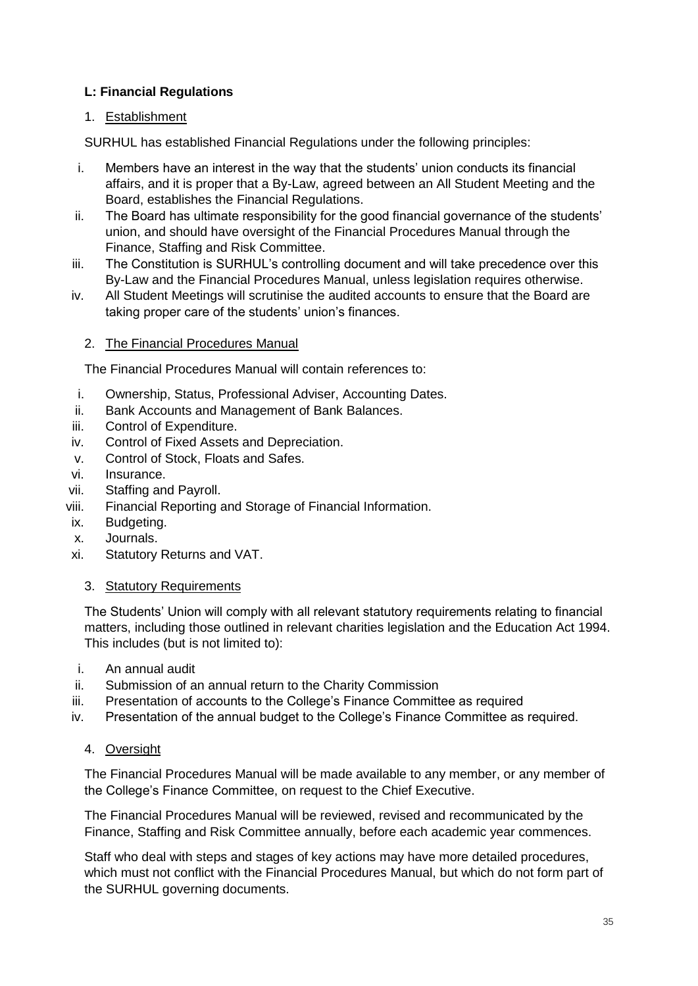# **L: Financial Regulations**

# 1. Establishment

SURHUL has established Financial Regulations under the following principles:

- i. Members have an interest in the way that the students' union conducts its financial affairs, and it is proper that a By-Law, agreed between an All Student Meeting and the Board, establishes the Financial Regulations.
- ii. The Board has ultimate responsibility for the good financial governance of the students' union, and should have oversight of the Financial Procedures Manual through the Finance, Staffing and Risk Committee.
- iii. The Constitution is SURHUL's controlling document and will take precedence over this By-Law and the Financial Procedures Manual, unless legislation requires otherwise.
- iv. All Student Meetings will scrutinise the audited accounts to ensure that the Board are taking proper care of the students' union's finances.

## 2. The Financial Procedures Manual

The Financial Procedures Manual will contain references to:

- i. Ownership, Status, Professional Adviser, Accounting Dates.
- ii. Bank Accounts and Management of Bank Balances.
- iii. Control of Expenditure.
- iv. Control of Fixed Assets and Depreciation.
- v. Control of Stock, Floats and Safes.
- vi. Insurance.
- vii. Staffing and Payroll.
- viii. Financial Reporting and Storage of Financial Information.
- ix. Budgeting.
- x. Journals.
- xi. Statutory Returns and VAT.
	- 3. Statutory Requirements

The Students' Union will comply with all relevant statutory requirements relating to financial matters, including those outlined in relevant charities legislation and the Education Act 1994. This includes (but is not limited to):

- i. An annual audit
- ii. Submission of an annual return to the Charity Commission
- iii. Presentation of accounts to the College's Finance Committee as required
- iv. Presentation of the annual budget to the College's Finance Committee as required.
	- 4. Oversight

The Financial Procedures Manual will be made available to any member, or any member of the College's Finance Committee, on request to the Chief Executive.

The Financial Procedures Manual will be reviewed, revised and recommunicated by the Finance, Staffing and Risk Committee annually, before each academic year commences.

Staff who deal with steps and stages of key actions may have more detailed procedures, which must not conflict with the Financial Procedures Manual, but which do not form part of the SURHUL governing documents.